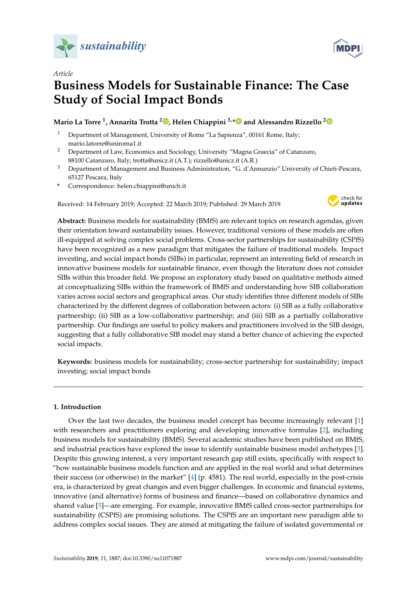



# **Business Models for Sustainable Finance: The Case Study of Social Impact Bonds**

# **Mario La Torre <sup>1</sup> , Annarita Trotta <sup>2</sup> [,](https://orcid.org/0000-0002-8298-2268) Helen Chiappini 3,[\\*](https://orcid.org/0000-0001-6309-6044) and Alessandro Rizzello [2](https://orcid.org/0000-0002-2171-522X)**

- <sup>1</sup> Department of Management, University of Rome "La Sapienza", 00161 Rome, Italy; mario.latorre@uniroma1.it
- <sup>2</sup> Department of Law, Economics and Sociology, University "Magna Graecia" of Catanzaro, 88100 Catanzaro, Italy; trotta@unicz.it (A.T.); rizzello@unicz.it (A.R.)
- <sup>3</sup> Department of Management and Business Administration, "G. d'Annunzio" University of Chieti-Pescara, 65127 Pescara, Italy
- **\*** Correspondence: helen.chiappini@unich.it

Received: 14 February 2019; Accepted: 22 March 2019; Published: 29 March 2019



**MDP** 

**Abstract:** Business models for sustainability (BMfS) are relevant topics on research agendas, given their orientation toward sustainability issues. However, traditional versions of these models are often ill-equipped at solving complex social problems. Cross-sector partnerships for sustainability (CSPfS) have been recognized as a new paradigm that mitigates the failure of traditional models. Impact investing, and social impact bonds (SIBs) in particular, represent an interesting field of research in innovative business models for sustainable finance, even though the literature does not consider SIBs within this broader field. We propose an exploratory study based on qualitative methods aimed at conceptualizing SIBs within the framework of BMfS and understanding how SIB collaboration varies across social sectors and geographical areas. Our study identifies three different models of SIBs characterized by the different degrees of collaboration between actors: (i) SIB as a fully collaborative partnership; (ii) SIB as a low-collaborative partnership; and (iii) SIB as a partially collaborative partnership. Our findings are useful to policy makers and practitioners involved in the SIB design, suggesting that a fully collaborative SIB model may stand a better chance of achieving the expected social impacts.

**Keywords:** business models for sustainability; cross-sector partnership for sustainability; impact investing; social impact bonds

# **1. Introduction**

Over the last two decades, the business model concept has become increasingly relevant [\[1\]](#page-18-0) with researchers and practitioners exploring and developing innovative formulas [\[2\]](#page-18-1), including business models for sustainability (BMfS). Several academic studies have been published on BMfS, and industrial practices have explored the issue to identify sustainable business model archetypes [\[3\]](#page-18-2). Despite this growing interest, a very important research gap still exists, specifically with respect to "how sustainable business models function and are applied in the real world and what determines their success (or otherwise) in the market" [\[4\]](#page-18-3) (p. 4581). The real world, especially in the post-crisis era, is characterized by great changes and even bigger challenges. In economic and financial systems, innovative (and alternative) forms of business and finance—based on collaborative dynamics and shared value [\[5\]](#page-18-4)—are emerging. For example, innovative BMfS called cross-sector partnerships for sustainability (CSPfS) are promising solutions. The CSPfS are an important new paradigm able to address complex social issues. They are aimed at mitigating the failure of isolated governmental or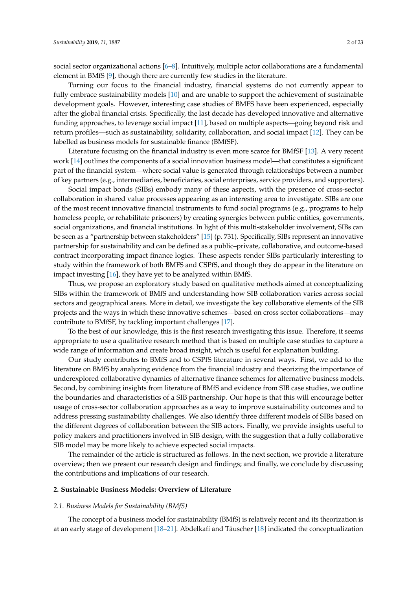social sector organizational actions [\[6](#page-18-5)[–8\]](#page-18-6). Intuitively, multiple actor collaborations are a fundamental element in BMfS [\[9\]](#page-18-7), though there are currently few studies in the literature.

Turning our focus to the financial industry, financial systems do not currently appear to fully embrace sustainability models [\[10\]](#page-18-8) and are unable to support the achievement of sustainable development goals. However, interesting case studies of BMFS have been experienced, especially after the global financial crisis. Specifically, the last decade has developed innovative and alternative funding approaches, to leverage social impact [\[11\]](#page-18-9), based on multiple aspects—going beyond risk and return profiles—such as sustainability, solidarity, collaboration, and social impact [\[12\]](#page-18-10). They can be labelled as business models for sustainable finance (BMfSF).

Literature focusing on the financial industry is even more scarce for BMfSF [\[13\]](#page-18-11). A very recent work [\[14\]](#page-18-12) outlines the components of a social innovation business model—that constitutes a significant part of the financial system—where social value is generated through relationships between a number of key partners (e.g., intermediaries, beneficiaries, social enterprises, service providers, and supporters).

Social impact bonds (SIBs) embody many of these aspects, with the presence of cross-sector collaboration in shared value processes appearing as an interesting area to investigate. SIBs are one of the most recent innovative financial instruments to fund social programs (e.g., programs to help homeless people, or rehabilitate prisoners) by creating synergies between public entities, governments, social organizations, and financial institutions. In light of this multi-stakeholder involvement, SIBs can be seen as a "partnership between stakeholders" [\[15\]](#page-18-13) (p. 731). Specifically, SIBs represent an innovative partnership for sustainability and can be defined as a public–private, collaborative, and outcome-based contract incorporating impact finance logics. These aspects render SIBs particularly interesting to study within the framework of both BMFS and CSPfS, and though they do appear in the literature on impact investing [\[16\]](#page-18-14), they have yet to be analyzed within BMfS.

Thus, we propose an exploratory study based on qualitative methods aimed at conceptualizing SIBs within the framework of BMfS and understanding how SIB collaboration varies across social sectors and geographical areas. More in detail, we investigate the key collaborative elements of the SIB projects and the ways in which these innovative schemes—based on cross sector collaborations—may contribute to BMfSF, by tackling important challenges [\[17\]](#page-18-15).

To the best of our knowledge, this is the first research investigating this issue. Therefore, it seems appropriate to use a qualitative research method that is based on multiple case studies to capture a wide range of information and create broad insight, which is useful for explanation building.

Our study contributes to BMfS and to CSPfS literature in several ways. First, we add to the literature on BMfS by analyzing evidence from the financial industry and theorizing the importance of underexplored collaborative dynamics of alternative finance schemes for alternative business models. Second, by combining insights from literature of BMfS and evidence from SIB case studies, we outline the boundaries and characteristics of a SIB partnership. Our hope is that this will encourage better usage of cross-sector collaboration approaches as a way to improve sustainability outcomes and to address pressing sustainability challenges. We also identify three different models of SIBs based on the different degrees of collaboration between the SIB actors. Finally, we provide insights useful to policy makers and practitioners involved in SIB design, with the suggestion that a fully collaborative SIB model may be more likely to achieve expected social impacts.

The remainder of the article is structured as follows. In the next section, we provide a literature overview; then we present our research design and findings; and finally, we conclude by discussing the contributions and implications of our research.

## **2. Sustainable Business Models: Overview of Literature**

## *2.1. Business Models for Sustainability (BMfS)*

The concept of a business model for sustainability (BMfS) is relatively recent and its theorization is at an early stage of development [\[18](#page-19-0)[–21\]](#page-19-1). Abdelkafi and Täuscher [\[18\]](#page-19-0) indicated the conceptualization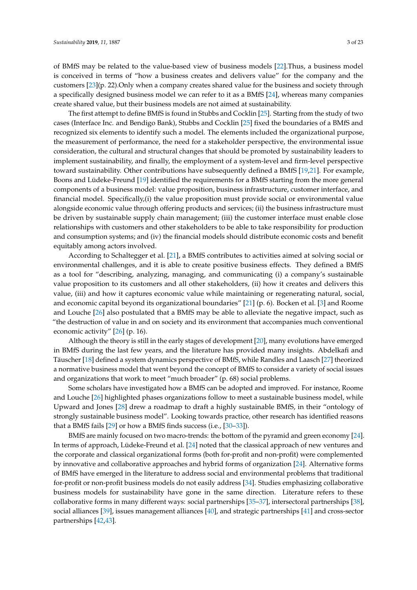of BMfS may be related to the value-based view of business models [\[22\]](#page-19-2).Thus, a business model is conceived in terms of "how a business creates and delivers value" for the company and the customers [\[23\]](#page-19-3)(p. 22).Only when a company creates shared value for the business and society through a specifically designed business model we can refer to it as a BMfS [\[24\]](#page-19-4), whereas many companies create shared value, but their business models are not aimed at sustainability.

The first attempt to define BMfS is found in Stubbs and Cocklin [\[25\]](#page-19-5). Starting from the study of two cases (Interface Inc. and Bendigo Bank), Stubbs and Cocklin [\[25\]](#page-19-5) fixed the boundaries of a BMfS and recognized six elements to identify such a model. The elements included the organizational purpose, the measurement of performance, the need for a stakeholder perspective, the environmental issue consideration, the cultural and structural changes that should be promoted by sustainability leaders to implement sustainability, and finally, the employment of a system-level and firm-level perspective toward sustainability. Other contributions have subsequently defined a BMfS [\[19](#page-19-6)[,21\]](#page-19-1). For example, Boons and Lüdeke-Freund [\[19\]](#page-19-6) identified the requirements for a BMfS starting from the more general components of a business model: value proposition, business infrastructure, customer interface, and financial model. Specifically,(i) the value proposition must provide social or environmental value alongside economic value through offering products and services; (ii) the business infrastructure must be driven by sustainable supply chain management; (iii) the customer interface must enable close relationships with customers and other stakeholders to be able to take responsibility for production and consumption systems; and (iv) the financial models should distribute economic costs and benefit equitably among actors involved.

According to Schaltegger et al. [\[21\]](#page-19-1), a BMfS contributes to activities aimed at solving social or environmental challenges, and it is able to create positive business effects. They defined a BMfS as a tool for "describing, analyzing, managing, and communicating (i) a company's sustainable value proposition to its customers and all other stakeholders, (ii) how it creates and delivers this value, (iii) and how it captures economic value while maintaining or regenerating natural, social, and economic capital beyond its organizational boundaries" [\[21\]](#page-19-1) (p. 6). Bocken et al. [\[3\]](#page-18-2) and Roome and Louche [\[26\]](#page-19-7) also postulated that a BMfS may be able to alleviate the negative impact, such as "the destruction of value in and on society and its environment that accompanies much conventional economic activity" [\[26\]](#page-19-7) (p. 16).

Although the theory is still in the early stages of development [\[20\]](#page-19-8), many evolutions have emerged in BMfS during the last few years, and the literature has provided many insights. Abdelkafi and Täuscher [\[18\]](#page-19-0) defined a system dynamics perspective of BMfS, while Randles and Laasch [\[27\]](#page-19-9) theorized a normative business model that went beyond the concept of BMfS to consider a variety of social issues and organizations that work to meet "much broader" (p. 68) social problems.

Some scholars have investigated how a BMfS can be adopted and improved. For instance, Roome and Louche [\[26\]](#page-19-7) highlighted phases organizations follow to meet a sustainable business model, while Upward and Jones [\[28\]](#page-19-10) drew a roadmap to draft a highly sustainable BMfS, in their "ontology of strongly sustainable business model". Looking towards practice, other research has identified reasons that a BMfS fails [\[29\]](#page-19-11) or how a BMfS finds success (i.e., [\[30–](#page-19-12)[33\]](#page-19-13)).

BMfS are mainly focused on two macro-trends: the bottom of the pyramid and green economy [\[24\]](#page-19-4). In terms of approach, Lüdeke-Freund et al. [\[24\]](#page-19-4) noted that the classical approach of new ventures and the corporate and classical organizational forms (both for-profit and non-profit) were complemented by innovative and collaborative approaches and hybrid forms of organization [\[24\]](#page-19-4). Alternative forms of BMfS have emerged in the literature to address social and environmental problems that traditional for-profit or non-profit business models do not easily address [\[34\]](#page-19-14). Studies emphasizing collaborative business models for sustainability have gone in the same direction. Literature refers to these collaborative forms in many different ways: social partnerships [\[35](#page-19-15)[–37\]](#page-19-16), intersectoral partnerships [\[38\]](#page-19-17), social alliances [\[39\]](#page-19-18), issues management alliances [\[40\]](#page-19-19), and strategic partnerships [\[41\]](#page-19-20) and cross-sector partnerships [\[42](#page-19-21)[,43\]](#page-20-0).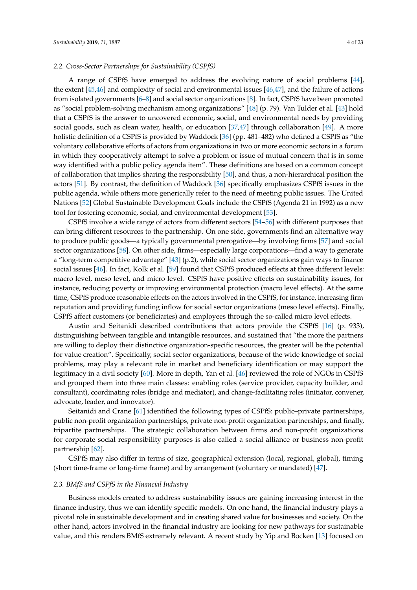## *2.2. Cross-Sector Partnerships for Sustainability (CSPfS)*

A range of CSPfS have emerged to address the evolving nature of social problems [\[44\]](#page-20-1), the extent [\[45,](#page-20-2)[46\]](#page-20-3) and complexity of social and environmental issues [\[46](#page-20-3)[,47\]](#page-20-4), and the failure of actions from isolated governments [\[6](#page-18-5)[–8\]](#page-18-6) and social sector organizations [\[8\]](#page-18-6). In fact, CSPfS have been promoted as "social problem-solving mechanism among organizations" [\[48\]](#page-20-5) (p. 79). Van Tulder et al. [\[43\]](#page-20-0) hold that a CSPfS is the answer to uncovered economic, social, and environmental needs by providing social goods, such as clean water, health, or education [\[37,](#page-19-16)[47\]](#page-20-4) through collaboration [\[49\]](#page-20-6). A more holistic definition of a CSPfS is provided by Waddock [\[36\]](#page-19-22) (pp. 481–482) who defined a CSPfS as "the voluntary collaborative efforts of actors from organizations in two or more economic sectors in a forum in which they cooperatively attempt to solve a problem or issue of mutual concern that is in some way identified with a public policy agenda item". These definitions are based on a common concept of collaboration that implies sharing the responsibility [\[50\]](#page-20-7), and thus, a non-hierarchical position the actors [\[51\]](#page-20-8). By contrast, the definition of Waddock [\[36\]](#page-19-22) specifically emphasizes CSPfS issues in the public agenda, while others more generically refer to the need of meeting public issues. The United Nations [\[52\]](#page-20-9) Global Sustainable Development Goals include the CSPfS (Agenda 21 in 1992) as a new tool for fostering economic, social, and environmental development [\[53\]](#page-20-10).

CSPfS involve a wide range of actors from different sectors [\[54–](#page-20-11)[56\]](#page-20-12) with different purposes that can bring different resources to the partnership. On one side, governments find an alternative way to produce public goods—a typically governmental prerogative—by involving firms [\[57\]](#page-20-13) and social sector organizations [\[58\]](#page-20-14). On other side, firms—especially large corporations—find a way to generate a "long-term competitive advantage" [\[43\]](#page-20-0) (p.2), while social sector organizations gain ways to finance social issues [\[46\]](#page-20-3). In fact, Kolk et al. [\[59\]](#page-20-15) found that CSPfS produced effects at three different levels: macro level, meso level, and micro level. CSPfS have positive effects on sustainability issues, for instance, reducing poverty or improving environmental protection (macro level effects). At the same time, CSPfS produce reasonable effects on the actors involved in the CSPfS, for instance, increasing firm reputation and providing funding inflow for social sector organizations (meso level effects). Finally, CSPfS affect customers (or beneficiaries) and employees through the so-called micro level effects.

Austin and Seitanidi described contributions that actors provide the CSPfS [\[16\]](#page-18-14) (p. 933), distinguishing between tangible and intangible resources, and sustained that "the more the partners are willing to deploy their distinctive organization-specific resources, the greater will be the potential for value creation". Specifically, social sector organizations, because of the wide knowledge of social problems, may play a relevant role in market and beneficiary identification or may support the legitimacy in a civil society [\[60\]](#page-20-16). More in depth, Yan et al. [\[46\]](#page-20-3) reviewed the role of NGOs in CSPfS and grouped them into three main classes: enabling roles (service provider, capacity builder, and consultant), coordinating roles (bridge and mediator), and change-facilitating roles (initiator, convener, advocate, leader, and innovator).

Seitanidi and Crane [\[61\]](#page-20-17) identified the following types of CSPfS: public–private partnerships, public non-profit organization partnerships, private non-profit organization partnerships, and finally, tripartite partnerships. The strategic collaboration between firms and non-profit organizations for corporate social responsibility purposes is also called a social alliance or business non-profit partnership [\[62\]](#page-20-18).

CSPfS may also differ in terms of size, geographical extension (local, regional, global), timing (short time-frame or long-time frame) and by arrangement (voluntary or mandated) [\[47\]](#page-20-4).

## *2.3. BMfS and CSPfS in the Financial Industry*

Business models created to address sustainability issues are gaining increasing interest in the finance industry, thus we can identify specific models. On one hand, the financial industry plays a pivotal role in sustainable development and in creating shared value for businesses and society. On the other hand, actors involved in the financial industry are looking for new pathways for sustainable value, and this renders BMfS extremely relevant. A recent study by Yip and Bocken [\[13\]](#page-18-11) focused on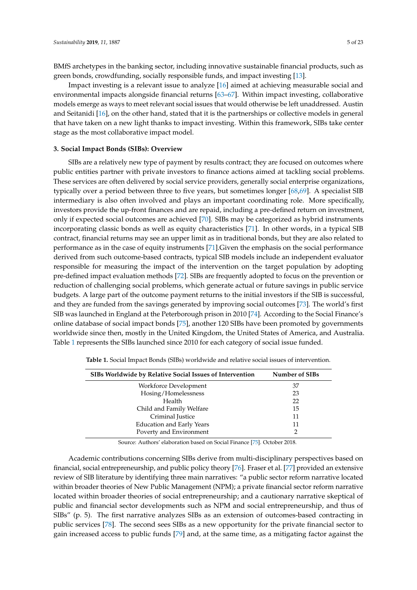BMfS archetypes in the banking sector, including innovative sustainable financial products, such as green bonds, crowdfunding, socially responsible funds, and impact investing [\[13\]](#page-18-11).

Impact investing is a relevant issue to analyze [\[16\]](#page-18-14) aimed at achieving measurable social and environmental impacts alongside financial returns [\[63](#page-20-19)[–67\]](#page-20-20). Within impact investing, collaborative models emerge as ways to meet relevant social issues that would otherwise be left unaddressed. Austin and Seitanidi [\[16\]](#page-18-14), on the other hand, stated that it is the partnerships or collective models in general that have taken on a new light thanks to impact investing. Within this framework, SIBs take center stage as the most collaborative impact model.

## **3. Social Impact Bonds (SIBs): Overview**

SIBs are a relatively new type of payment by results contract; they are focused on outcomes where public entities partner with private investors to finance actions aimed at tackling social problems. These services are often delivered by social service providers, generally social enterprise organizations, typically over a period between three to five years, but sometimes longer [\[68](#page-21-0)[,69\]](#page-21-1). A specialist SIB intermediary is also often involved and plays an important coordinating role. More specifically, investors provide the up-front finances and are repaid, including a pre-defined return on investment, only if expected social outcomes are achieved [\[70\]](#page-21-2). SIBs may be categorized as hybrid instruments incorporating classic bonds as well as equity characteristics [\[71\]](#page-21-3). In other words, in a typical SIB contract, financial returns may see an upper limit as in traditional bonds, but they are also related to performance as in the case of equity instruments [\[71\]](#page-21-3).Given the emphasis on the social performance derived from such outcome-based contracts, typical SIB models include an independent evaluator responsible for measuring the impact of the intervention on the target population by adopting pre-defined impact evaluation methods [\[72\]](#page-21-4). SIBs are frequently adopted to focus on the prevention or reduction of challenging social problems, which generate actual or future savings in public service budgets. A large part of the outcome payment returns to the initial investors if the SIB is successful, and they are funded from the savings generated by improving social outcomes [\[73\]](#page-21-5). The world's first SIB was launched in England at the Peterborough prison in 2010 [\[74\]](#page-21-6). According to the Social Finance's online database of social impact bonds [\[75\]](#page-21-7), another 120 SIBs have been promoted by governments worldwide since then, mostly in the United Kingdom, the United States of America, and Australia. Table [1](#page-4-0) represents the SIBs launched since 2010 for each category of social issue funded.

| SIBs Worldwide by Relative Social Issues of Intervention | <b>Number of SIBs</b> |
|----------------------------------------------------------|-----------------------|
| Workforce Development                                    | 37                    |
| Hosing/Homelessness                                      | 23                    |
| Health                                                   | 22                    |
| Child and Family Welfare                                 | 15                    |
| Criminal Justice                                         | 11                    |
| <b>Education and Early Years</b>                         | 11                    |
| Poverty and Environment                                  |                       |

<span id="page-4-0"></span>**Table 1.** Social Impact Bonds (SIBs) worldwide and relative social issues of intervention.

Source: Authors' elaboration based on Social Finance [\[75\]](#page-21-7). October 2018.

Academic contributions concerning SIBs derive from multi-disciplinary perspectives based on financial, social entrepreneurship, and public policy theory [\[76\]](#page-21-8). Fraser et al. [\[77\]](#page-21-9) provided an extensive review of SIB literature by identifying three main narratives: "a public sector reform narrative located within broader theories of New Public Management (NPM); a private financial sector reform narrative located within broader theories of social entrepreneurship; and a cautionary narrative skeptical of public and financial sector developments such as NPM and social entrepreneurship, and thus of SIBs" (p. 5). The first narrative analyzes SIBs as an extension of outcomes-based contracting in public services [\[78\]](#page-21-10). The second sees SIBs as a new opportunity for the private financial sector to gain increased access to public funds [\[79\]](#page-21-11) and, at the same time, as a mitigating factor against the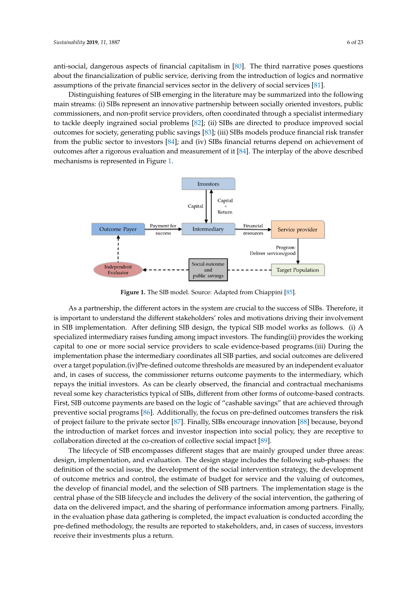anti-social, dangerous aspects of financial capitalism in [\[80\]](#page-21-12). The third narrative poses questions about the financialization of public service, deriving from the introduction of logics and normative assumptions of the private financial services sector in the delivery of social services [\[81\]](#page-21-13).

Distinguishing features of SIB emerging in the literature may be summarized into the following main streams: (i) SIBs represent an innovative partnership between socially oriented investors, public commissioners, and non-profit service providers, often coordinated through a specialist intermediary commissioners, and non-profit service providers, often coordinated through a specialist intermediary to tackle deeply ingrained social problems [\[82\]](#page-21-14); (ii) SIBs are directed to produce improved social<br>to tackle deeply ingrained social problems [82]; (ii) SIBs are directed to produce improved social outcomes for society, generating public savings [\[83\]](#page-21-15); (iii) SIBs models produce financial risk transfer from the public sector to investors [\[84\]](#page-21-16); and (iv) SIBs financial returns depend on achievement of from the public sector to investors [84]; and (iv) SIBs financial returns depend on achievement of outcomes after a rigorous evaluation and measurement of it [\[84\]](#page-21-16). The interplay of the above described  $\frac{1}{2}$ mechanisms is represented in Figure [1.](#page-5-0) mechanisms is represented in Figure 1.

<span id="page-5-0"></span>

**Figure 1.**The SIB model. Source: Adapted from Chiappini [85]. **Figure 1.** The SIB model. Source: Adapted from Chiappini [\[85\]](#page-21-17).

As a partnership, the different actors in the system are crucial to the success of SIBs. Therefore, As a partnership, the different actors in the system are crucial to the success of SIBs. Therefore, it is important to understand the different stakeholders' roles and motivations driving their involvement in SIB implementation. After defining SIB design, the typical SIB model works as follows. (i) A specialized intermediary raises funding among impact investors. The funding(ii) provides the working capital to one or more social service providers to scale evidence-based programs.(iii) During the implementation phase the intermediary coordinates all SIB parties, and social outcomes are delivered over a target population.(iv)Pre-defined outcome thresholds are measured by an independent evaluator and, in cases of success, the commissioner returns outcome payments to the intermediary, which repays the initial investors. As can be clearly observed, the financial and contractual mechanisms reveal some key characteristics typical of SIBs, different from other forms of outcome-based contracts. First, SIB outcome payments are based on the logic of "cashable savings" that are achieved through preventive social programs [86]. Additionally, the focus on pre-defined outcomes transfers the risk of project failure to the private sec[tor](#page-21-20) [\[87\]](#page-21-19). Finally, SIBs encourage innovation [88] because, beyond the introduction of market forces and investor inspection into social policy, they are receptive to collaboration directed at t[he](#page-21-21) co-creation of collective social impact [89].

The lifecycle of SIB encompasses different stages that are mainly grouped under three areas: design, implementation, and evaluation. The design stage includes the following sub-phases: the definition of the social issue, the development of the social intervention strategy, the development of outcome metrics and control, the estimate of budget for service and the valuing of outcomes, the develop of financial model, and the selection of SIB partners. The implementation stage is the central phase of the SIB lifecycle and includes the delivery of the social intervention, the gathering of data on the delivered impact, and the sharing of performance information among partners. Finally, in the evaluation phase data gathering is completed, the impact evaluation is conducted according the pre-defined methodology, the results are reported to stakeholders, and, in cases of success, investors receive their investments plus a return.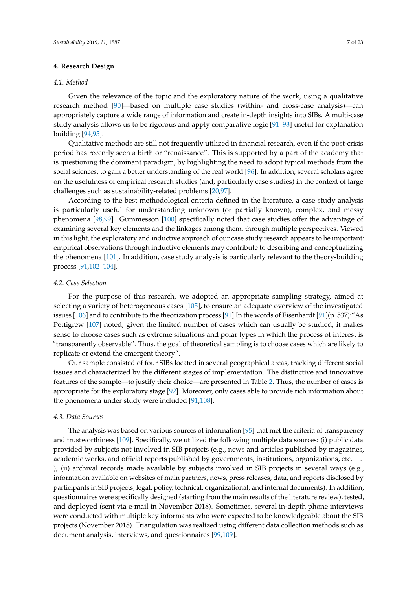# **4. Research Design**

## *4.1. Method*

Given the relevance of the topic and the exploratory nature of the work, using a qualitative research method [\[90\]](#page-21-22)—based on multiple case studies (within- and cross-case analysis)—can appropriately capture a wide range of information and create in-depth insights into SIBs. A multi-case study analysis allows us to be rigorous and apply comparative logic [\[91–](#page-21-23)[93\]](#page-21-24) useful for explanation building [\[94](#page-21-25)[,95\]](#page-21-26).

Qualitative methods are still not frequently utilized in financial research, even if the post-crisis period has recently seen a birth or "renaissance". This is supported by a part of the academy that is questioning the dominant paradigm, by highlighting the need to adopt typical methods from the social sciences, to gain a better understanding of the real world [\[96\]](#page-22-0). In addition, several scholars agree on the usefulness of empirical research studies (and, particularly case studies) in the context of large challenges such as sustainability-related problems [\[20,](#page-19-8)[97\]](#page-22-1).

According to the best methodological criteria defined in the literature, a case study analysis is particularly useful for understanding unknown (or partially known), complex, and messy phenomena [\[98,](#page-22-2)[99\]](#page-22-3). Gummesson [\[100\]](#page-22-4) specifically noted that case studies offer the advantage of examining several key elements and the linkages among them, through multiple perspectives. Viewed in this light, the exploratory and inductive approach of our case study research appears to be important: empirical observations through inductive elements may contribute to describing and conceptualizing the phenomena [\[101\]](#page-22-5). In addition, case study analysis is particularly relevant to the theory-building process [\[91](#page-21-23)[,102](#page-22-6)[–104\]](#page-22-7).

## *4.2. Case Selection*

For the purpose of this research, we adopted an appropriate sampling strategy, aimed at selecting a variety of heterogeneous cases [\[105\]](#page-22-8), to ensure an adequate overview of the investigated issues [\[106\]](#page-22-9) and to contribute to the theorization process [\[91\]](#page-21-23).In the words of Eisenhardt [\[91\]](#page-21-23)(p. 537):"As Pettigrew [\[107\]](#page-22-10) noted, given the limited number of cases which can usually be studied, it makes sense to choose cases such as extreme situations and polar types in which the process of interest is "transparently observable". Thus, the goal of theoretical sampling is to choose cases which are likely to replicate or extend the emergent theory".

Our sample consisted of four SIBs located in several geographical areas, tracking different social issues and characterized by the different stages of implementation. The distinctive and innovative features of the sample—to justify their choice—are presented in Table [2.](#page-8-0) Thus, the number of cases is appropriate for the exploratory stage [\[92\]](#page-21-27). Moreover, only cases able to provide rich information about the phenomena under study were included [\[91,](#page-21-23)[108\]](#page-22-11).

# *4.3. Data Sources*

The analysis was based on various sources of information [\[95\]](#page-21-26) that met the criteria of transparency and trustworthiness [\[109\]](#page-22-12). Specifically, we utilized the following multiple data sources: (i) public data provided by subjects not involved in SIB projects (e.g., news and articles published by magazines, academic works, and official reports published by governments, institutions, organizations, etc. . . . ); (ii) archival records made available by subjects involved in SIB projects in several ways (e.g., information available on websites of main partners, news, press releases, data, and reports disclosed by participants in SIB projects; legal, policy, technical, organizational, and internal documents). In addition, questionnaires were specifically designed (starting from the main results of the literature review), tested, and deployed (sent via e-mail in November 2018). Sometimes, several in-depth phone interviews were conducted with multiple key informants who were expected to be knowledgeable about the SIB projects (November 2018). Triangulation was realized using different data collection methods such as document analysis, interviews, and questionnaires [\[99,](#page-22-3)[109\]](#page-22-12).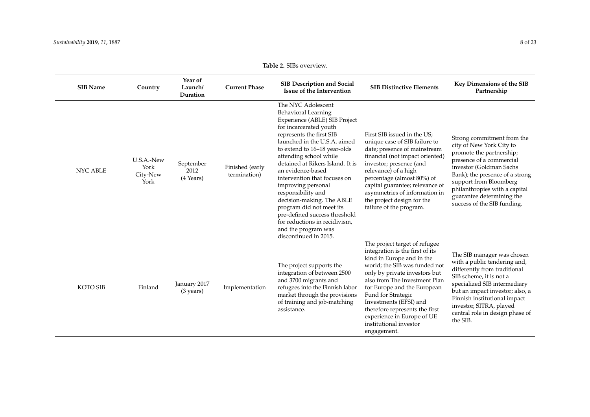**Table 2.** SIBs overview.

| <b>SIB</b> Name | Country                                | Year of<br>Launch/<br>Duration      | <b>Current Phase</b>            | <b>SIB Description and Social</b><br>Issue of the Intervention                                                                                                                                                                                                                                                                                                                                                                                                                                                                                    | <b>SIB Distinctive Elements</b>                                                                                                                                                                                                                                                                                                                                                          | <b>Key Dimensions of the SIB</b><br>Partnership                                                                                                                                                                                                                                                     |
|-----------------|----------------------------------------|-------------------------------------|---------------------------------|---------------------------------------------------------------------------------------------------------------------------------------------------------------------------------------------------------------------------------------------------------------------------------------------------------------------------------------------------------------------------------------------------------------------------------------------------------------------------------------------------------------------------------------------------|------------------------------------------------------------------------------------------------------------------------------------------------------------------------------------------------------------------------------------------------------------------------------------------------------------------------------------------------------------------------------------------|-----------------------------------------------------------------------------------------------------------------------------------------------------------------------------------------------------------------------------------------------------------------------------------------------------|
| <b>NYC ABLE</b> | U.S.A.-New<br>York<br>City-New<br>York | September<br>2012<br>(4 Years)      | Finished (early<br>termination) | The NYC Adolescent<br><b>Behavioral Learning</b><br>Experience (ABLE) SIB Project<br>for incarcerated youth<br>represents the first SIB<br>launched in the U.S.A. aimed<br>to extend to 16-18 year-olds<br>attending school while<br>detained at Rikers Island. It is<br>an evidence-based<br>intervention that focuses on<br>improving personal<br>responsibility and<br>decision-making. The ABLE<br>program did not meet its<br>pre-defined success threshold<br>for reductions in recidivism,<br>and the program was<br>discontinued in 2015. | First SIB issued in the US:<br>unique case of SIB failure to<br>date; presence of mainstream<br>financial (not impact oriented)<br>investor; presence (and<br>relevance) of a high<br>percentage (almost 80%) of<br>capital guarantee; relevance of<br>asymmetries of information in<br>the project design for the<br>failure of the program.                                            | Strong commitment from the<br>city of New York City to<br>promote the partnership;<br>presence of a commercial<br>investor (Goldman Sachs<br>Bank); the presence of a strong<br>support from Bloomberg<br>philanthropies with a capital<br>guarantee determining the<br>success of the SIB funding. |
| <b>KOTO SIB</b> | Finland                                | January 2017<br>$(3 \text{ years})$ | Implementation                  | The project supports the<br>integration of between 2500<br>and 3700 migrants and<br>refugees into the Finnish labor<br>market through the provisions<br>of training and job-matching<br>assistance.                                                                                                                                                                                                                                                                                                                                               | The project target of refugee<br>integration is the first of its<br>kind in Europe and in the<br>world; the SIB was funded not<br>only by private investors but<br>also from The Investment Plan<br>for Europe and the European<br>Fund for Strategic<br>Investments (EFSI) and<br>therefore represents the first<br>experience in Europe of UE<br>institutional investor<br>engagement. | The SIB manager was chosen<br>with a public tendering and,<br>differently from traditional<br>SIB scheme, it is not a<br>specialized SIB intermediary<br>but an impact investor; also, a<br>Finnish institutional impact<br>investor, SITRA, played<br>central role in design phase of<br>the SIB.  |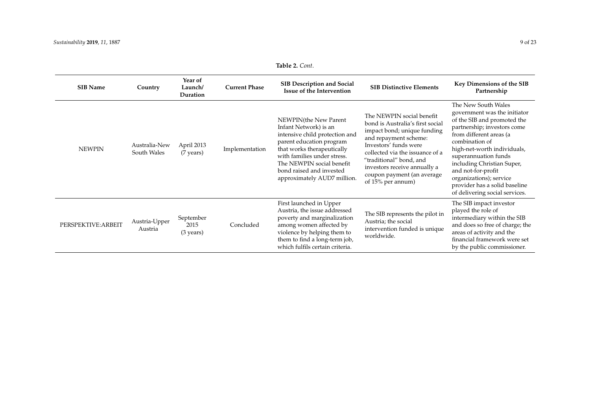# **Table 2.** *Cont*.

<span id="page-8-0"></span>

| <b>SIB</b> Name    | Country                             | Year of<br>Launch/<br>Duration           | <b>Current Phase</b> | <b>SIB Description and Social</b><br>Issue of the Intervention                                                                                                                                                                                                    | <b>SIB Distinctive Elements</b>                                                                                                                                                                                                                                                                 | <b>Key Dimensions of the SIB</b><br>Partnership                                                                                                                                                                                                                                                                                                                         |
|--------------------|-------------------------------------|------------------------------------------|----------------------|-------------------------------------------------------------------------------------------------------------------------------------------------------------------------------------------------------------------------------------------------------------------|-------------------------------------------------------------------------------------------------------------------------------------------------------------------------------------------------------------------------------------------------------------------------------------------------|-------------------------------------------------------------------------------------------------------------------------------------------------------------------------------------------------------------------------------------------------------------------------------------------------------------------------------------------------------------------------|
| <b>NEWPIN</b>      | Australia-New<br><b>South Wales</b> | April 2013<br>(7 years)                  | Implementation       | NEWPIN(the New Parent<br>Infant Network) is an<br>intensive child protection and<br>parent education program<br>that works therapeutically<br>with families under stress.<br>The NEWPIN social benefit<br>bond raised and invested<br>approximately AUD7 million. | The NEWPIN social benefit<br>bond is Australia's first social<br>impact bond; unique funding<br>and repayment scheme:<br>Investors' funds were<br>collected via the issuance of a<br>"traditional" bond, and<br>investors receive annually a<br>coupon payment (an average<br>of 15% per annum) | The New South Wales<br>government was the initiator<br>of the SIB and promoted the<br>partnership; investors come<br>from different areas (a<br>combination of<br>high-net-worth individuals,<br>superannuation funds<br>including Christian Super,<br>and not-for-profit<br>organizations); service<br>provider has a solid baseline<br>of delivering social services. |
| PERSPEKTIVE:ARBEIT | Austria-Upper<br>Austria            | September<br>2015<br>$(3 \text{ years})$ | Concluded            | First launched in Upper<br>Austria, the issue addressed<br>poverty and marginalization<br>among women affected by<br>violence by helping them to<br>them to find a long-term job,<br>which fulfils certain criteria.                                              | The SIB represents the pilot in<br>Austria; the social<br>intervention funded is unique<br>worldwide.                                                                                                                                                                                           | The SIB impact investor<br>played the role of<br>intermediary within the SIB<br>and does so free of charge; the<br>areas of activity and the<br>financial framework were set<br>by the public commissioner.                                                                                                                                                             |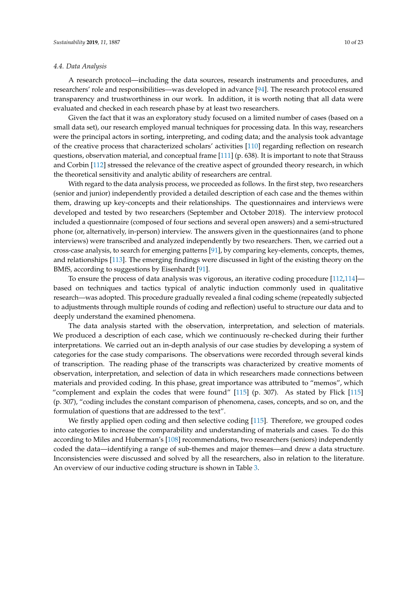## *4.4. Data Analysis*

A research protocol—including the data sources, research instruments and procedures, and researchers' role and responsibilities—was developed in advance [\[94\]](#page-21-25). The research protocol ensured transparency and trustworthiness in our work. In addition, it is worth noting that all data were evaluated and checked in each research phase by at least two researchers.

Given the fact that it was an exploratory study focused on a limited number of cases (based on a small data set), our research employed manual techniques for processing data. In this way, researchers were the principal actors in sorting, interpreting, and coding data; and the analysis took advantage of the creative process that characterized scholars' activities [\[110\]](#page-22-13) regarding reflection on research questions, observation material, and conceptual frame [\[111\]](#page-22-14) (p. 638). It is important to note that Strauss and Corbin [\[112\]](#page-22-15) stressed the relevance of the creative aspect of grounded theory research, in which the theoretical sensitivity and analytic ability of researchers are central.

With regard to the data analysis process, we proceeded as follows. In the first step, two researchers (senior and junior) independently provided a detailed description of each case and the themes within them, drawing up key-concepts and their relationships. The questionnaires and interviews were developed and tested by two researchers (September and October 2018). The interview protocol included a questionnaire (composed of four sections and several open answers) and a semi-structured phone (or, alternatively, in-person) interview. The answers given in the questionnaires (and to phone interviews) were transcribed and analyzed independently by two researchers. Then, we carried out a cross-case analysis, to search for emerging patterns [\[91\]](#page-21-23), by comparing key-elements, concepts, themes, and relationships [\[113\]](#page-22-16). The emerging findings were discussed in light of the existing theory on the BMfS, according to suggestions by Eisenhardt [\[91\]](#page-21-23).

To ensure the process of data analysis was vigorous, an iterative coding procedure [\[112](#page-22-15)[,114\]](#page-22-17) based on techniques and tactics typical of analytic induction commonly used in qualitative research—was adopted. This procedure gradually revealed a final coding scheme (repeatedly subjected to adjustments through multiple rounds of coding and reflection) useful to structure our data and to deeply understand the examined phenomena.

The data analysis started with the observation, interpretation, and selection of materials. We produced a description of each case, which we continuously re-checked during their further interpretations. We carried out an in-depth analysis of our case studies by developing a system of categories for the case study comparisons. The observations were recorded through several kinds of transcription. The reading phase of the transcripts was characterized by creative moments of observation, interpretation, and selection of data in which researchers made connections between materials and provided coding. In this phase, great importance was attributed to "memos", which "complement and explain the codes that were found"  $[115]$  (p. 307). As stated by Flick  $[115]$ (p. 307), "coding includes the constant comparison of phenomena, cases, concepts, and so on, and the formulation of questions that are addressed to the text".

We firstly applied open coding and then selective coding [\[115\]](#page-22-18). Therefore, we grouped codes into categories to increase the comparability and understanding of materials and cases. To do this according to Miles and Huberman's [\[108\]](#page-22-11) recommendations, two researchers (seniors) independently coded the data—identifying a range of sub-themes and major themes—and drew a data structure. Inconsistencies were discussed and solved by all the researchers, also in relation to the literature. An overview of our inductive coding structure is shown in Table [3.](#page-10-0)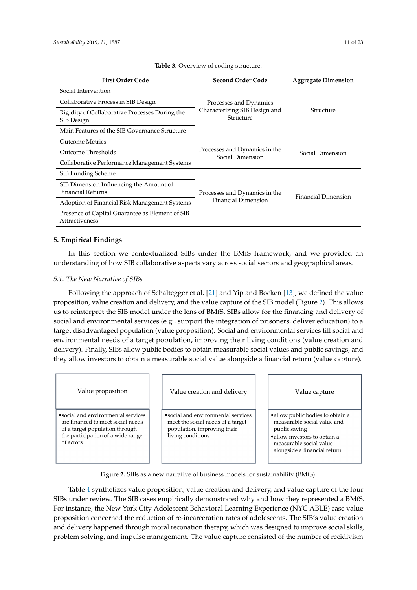<span id="page-10-0"></span>

| <b>First Order Code</b>                                             | <b>Second Order Code</b>                          | <b>Aggregate Dimension</b> |  |
|---------------------------------------------------------------------|---------------------------------------------------|----------------------------|--|
| Social Intervention                                                 |                                                   |                            |  |
| Collaborative Process in SIB Design                                 | Processes and Dynamics                            |                            |  |
| Rigidity of Collaborative Processes During the<br>SIB Design        | Characterizing SIB Design and<br>Structure        | Structure                  |  |
| Main Features of the SIB Governance Structure                       |                                                   |                            |  |
| <b>Outcome Metrics</b>                                              |                                                   |                            |  |
| Outcome Thresholds                                                  | Processes and Dynamics in the<br>Social Dimension | Social Dimension           |  |
| Collaborative Performance Management Systems                        |                                                   |                            |  |
| SIB Funding Scheme                                                  |                                                   |                            |  |
| SIB Dimension Influencing the Amount of<br><b>Financial Returns</b> | Processes and Dynamics in the                     | <b>Financial Dimension</b> |  |
| Adoption of Financial Risk Management Systems                       | <b>Financial Dimension</b>                        |                            |  |
| Presence of Capital Guarantee as Element of SIB<br>Attractiveness   |                                                   |                            |  |

**Table 3.** Overview of coding structure.

#### **5. Empirical Findings**  $I_n$  section we contextually section we provide  $S$  framework, and we provide an  $S$  framework, and we provide an  $I_n$

In this section we contextualized SIBs under the BMfS framework, and we provided an understanding of how SIB collaborative aspects vary across social sectors and geographical areas.

# *5.1. The New Narrative of SIBs*

Following the approach of Schaltegger et al. [\[21\]](#page-19-1) and Yip and Bocken [\[13\]](#page-18-11), we defined the value proposition, value creation and delivery, and the value capture of the SIB model (Figure [2\)](#page-10-1). This allows us to reinterpret the SIB model under the lens of BMfS. SIBs allow for the financing and delivery of social and environmental services (e.g., support the integration of prisoners, deliver education) to a target disadvantaged population (value proposition). Social and environmental services fill social and environmental needs of a target population, improving their living conditions (value creation and delivery). Finally, SIBs allow public bodies to obtain measurable social values and public savings, and they allow investors to obtain a measurable social value alongside a financial return (value capture). Following the approach of Schaltegger et al.  $\mathcal{Q}_1$  and  $\mathcal{Q}_2$  and  $\mathcal{Q}_3$ , we define defined the value the value of  $\mathcal{Q}_3$ 

<span id="page-10-1"></span>

|  | Value proposition |
|--|-------------------|
|--|-------------------|

•social and environmental services are financed to meet social needs of a target population through the participation of a wide range of actors

Value creation and delivery

•social and environmental services meet the social needs of a target population, improving their living conditions

# Value capture

- •allow public bodies to obtain a measurable social value and public saving
- •allow investors to obtain a measurable social value alongside a financial return

**Figure 2.** SIBs as a new narrative of business models for sustainability (BMfS). **Figure 2.** SIBs as a new narrative of business models for sustainability (BMfS).

Table [4](#page-11-0) synthetizes value proposition, value creation and delivery, and value capture of the four Table 4 synthetizes value proposition, value creation and delivery, and value capture of the four SIBs under review. The SIB cases empirically demonstrated why and how they represented a BMfS. SIBs under review. The SIB cases empirically demonstrated why and how they represented a BMfS. For instance, the New York City Adolescent Behavioral Learning Experience (NYC ABLE) case value For instance, the New York City Adolescent Behavioral Learning Experience (NYC ABLE) case value proposition concerned the reduction of re-incarceration rates of adolescents. The SIB's value creation proposition concerned the reduction of re-incarceration rates of adolescents. The SIB's value creation and delivery happened through moral reconation therapy, which was designed to improve social skills, problem solving, and impulse management. The value capture consisted of the number of recidivism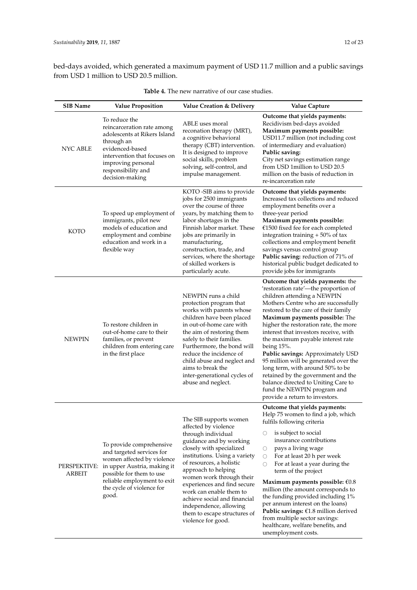bed-days avoided, which generated a maximum payment of USD 11.7 million and a public savings from USD 1 million to USD 20.5 million.

<span id="page-11-0"></span>

| <b>SIB</b> Name               | <b>Value Proposition</b>                                                                                                                                                                                            | Value Creation & Delivery                                                                                                                                                                                                                                                                                                                                                                                             | Value Capture                                                                                                                                                                                                                                                                                                                                                                                                                                                                                                                                                                                                                     |
|-------------------------------|---------------------------------------------------------------------------------------------------------------------------------------------------------------------------------------------------------------------|-----------------------------------------------------------------------------------------------------------------------------------------------------------------------------------------------------------------------------------------------------------------------------------------------------------------------------------------------------------------------------------------------------------------------|-----------------------------------------------------------------------------------------------------------------------------------------------------------------------------------------------------------------------------------------------------------------------------------------------------------------------------------------------------------------------------------------------------------------------------------------------------------------------------------------------------------------------------------------------------------------------------------------------------------------------------------|
| NYC ABLE                      | To reduce the<br>reincarceration rate among<br>adolescents at Rikers Island<br>through an<br>evidenced-based<br>intervention that focuses on<br>improving personal<br>responsibility and<br>decision-making         | ABLE uses moral<br>reconation therapy (MRT),<br>a cognitive behavioral<br>therapy (CBT) intervention.<br>It is designed to improve<br>social skills, problem<br>solving, self-control, and<br>impulse management.                                                                                                                                                                                                     | Outcome that yields payments:<br>Recidivism bed-days avoided<br>Maximum payments possible:<br>USD11.7 million (not including cost<br>of intermediary and evaluation)<br>Public saving:<br>City net savings estimation range<br>from USD 1 million to USD 20.5<br>million on the basis of reduction in<br>re-incarceration rate                                                                                                                                                                                                                                                                                                    |
| <b>KOTO</b>                   | To speed up employment of<br>immigrants, pilot new<br>models of education and<br>employment and combine<br>education and work in a<br>flexible way                                                                  | KOTO -SIB aims to provide<br>jobs for 2500 immigrants<br>over the course of three<br>years, by matching them to<br>labor shortages in the<br>Finnish labor market. These<br>jobs are primarily in<br>manufacturing,<br>construction, trade, and<br>services, where the shortage<br>of skilled workers is<br>particularly acute.                                                                                       | Outcome that yields payments:<br>Increased tax collections and reduced<br>employment benefits over a<br>three-year period<br>Maximum payments possible:<br>€1500 fixed fee for each completed<br>integration training $+50\%$ of tax<br>collections and employment benefit<br>savings versus control group<br><b>Public saving:</b> reduction of 71% of<br>historical public budget dedicated to<br>provide jobs for immigrants                                                                                                                                                                                                   |
| <b>NEWPIN</b>                 | To restore children in<br>out-of-home care to their<br>families, or prevent<br>children from entering care<br>in the first place                                                                                    | NEWPIN runs a child<br>protection program that<br>works with parents whose<br>children have been placed<br>in out-of-home care with<br>the aim of restoring them<br>safely to their families.<br>Furthermore, the bond will<br>reduce the incidence of<br>child abuse and neglect and<br>aims to break the<br>inter-generational cycles of<br>abuse and neglect.                                                      | Outcome that yields payments: the<br>'restoration rate'-the proportion of<br>children attending a NEWPIN<br>Mothers Centre who are successfully<br>restored to the care of their family<br>Maximum payments possible: The<br>higher the restoration rate, the more<br>interest that investors receive, with<br>the maximum payable interest rate<br>being $15%$ .<br>Public savings: Approximately USD<br>95 million will be generated over the<br>long term, with around 50% to be<br>retained by the government and the<br>balance directed to Uniting Care to<br>fund the NEWPIN program and<br>provide a return to investors. |
| PERSPEKTIVE:<br><b>ARBEIT</b> | To provide comprehensive<br>and targeted services for<br>women affected by violence<br>in upper Austria, making it<br>possible for them to use<br>reliable employment to exit<br>the cycle of violence for<br>good. | The SIB supports women<br>affected by violence<br>through individual<br>guidance and by working<br>closely with specialized<br>institutions. Using a variety<br>of resources, a holistic<br>approach to helping<br>women work through their<br>experiences and find secure<br>work can enable them to<br>achieve social and financial<br>independence, allowing<br>them to escape structures of<br>violence for good. | Outcome that yields payments:<br>Help 75 women to find a job, which<br>fulfils following criteria<br>is subject to social<br>O<br>insurance contributions<br>pays a living wage<br>0<br>For at least 20 h per week<br>0<br>For at least a year during the<br>O<br>term of the project<br>Maximum payments possible: $€0.8$<br>million (the amount corresponds to<br>the funding provided including 1%<br>per annum interest on the loans)<br>Public savings: $£1.8$ million derived<br>from multiple sector savings:<br>healthcare, welfare benefits, and<br>unemployment costs.                                                  |

| <b>Table 4.</b> The new narrative of our case studies. |
|--------------------------------------------------------|
|--------------------------------------------------------|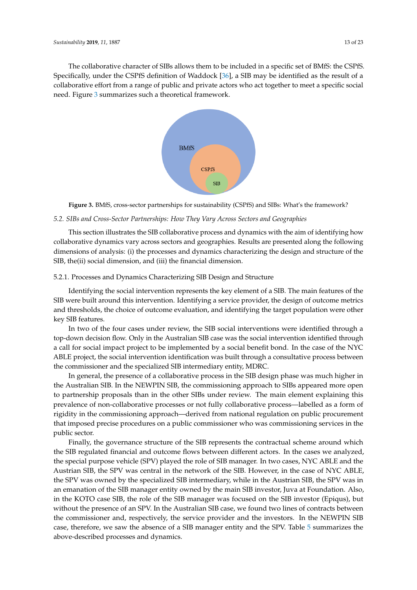The collaborative character of SIBs allows them to be included in a specific set of BMfS: the CSPfS. Specifically, under the CSPfS definition of Waddock [\[36\]](#page-19-22), a SIB may be identified as the result of a collaborative effort from a range of public and private actors who act together to meet a specific social need. Figure 3 summarizes such a theoretical framework.

<span id="page-12-0"></span>

**Figure 3.** cross-sector partnerships for sustainability (CSPfS) and SIBs: What's the framework? **Figure 3.** BMfS, cross-sector partnerships for sustainability (CSPfS) and SIBs: What's the framework?

## *5.2. SIBs and Cross-Sector Partnerships: How They Vary Across Sectors and Geographies 5.2. SIBs and Cross-Sector Partnerships: How They Vary Across Sectors and Geographies*

collaborative dynamics vary across sectors and geographies. Results are presented along the following dimensions of analysis: (i) the processes and dynamics characterizing the design and structure of the  $SIB$ , the(ii) social dimension, and (iii) the financial dimension. structure of the SIB, the SIB, the  $\zeta$  iii) the financial dimension, and (iii) the financial dimension. The financial dimension, and (iii) the financial dimension. The financial dimension of the financial dimension. The This section illustrates the SIB collaborative process and dynamics with the aim of identifying how

## 5.2.1. Processes and Dynamics Characterizing SIB Design and Structure

5.2.1. Processes and Dynamics Characterizing SIB Design and Structure SIB were built around this intervention. Identifying a service provider, the design of outcome metrics and thresholds, the choice of outcome evaluation, and identifying the target population were other key SIB features. Identifying the social intervention represents the key element of a SIB. The main features of the

In two of the four cases under review, the SIB social interventions were identified through a top-down decision flow. Only in the Australian SIB case was the social intervention identified through a call for social impact project to be implemented by a social benefit bond. In the case of the NYC ABLE project, the social intervention identification was built through a consultative process between the commissioner and the specialized SIB intermediary entity, MDRC.

In general, the presence of a collaborative process in the SIB design phase was much higher in the Australian SIB. In the NEWPIN SIB, the commissioning approach to SIBs appeared more open to partnership proposals than in the other SIBs under review. The main element explaining this prevalence of non-collaborative processes or not fully collaborative process—labelled as a form of rigidity in the commissioning approach—derived from national regulation on public procurement that imposed precise procedures on a public commissioner who was commissioning services in the public sector.

Finally, the governance structure of the SIB represents the contractual scheme around which the SIB regulated financial and outcome flows between different actors. In the cases we analyzed, the special purpose vehicle (SPV) played the role of SIB manager. In two cases, NYC ABLE and the Austrian SIB, the SPV was central in the network of the SIB. However, in the case of NYC ABLE, the SPV was owned by the specialized SIB intermediary, while in the Austrian SIB, the SPV was in an emanation of the SIB manager entity owned by the main SIB investor, Juva at Foundation. Also, in the KOTO case SIB, the role of the SIB manager was focused on the SIB investor (Epiqus), but without the presence of an SPV. In the Australian SIB case, we found two lines of contracts between the commissioner and, respectively, the service provider and the investors. In the NEWPIN SIB case, therefore, we saw the absence of a SIB manager entity and the SPV. Table [5](#page-13-0) summarizes the above-described processes and dynamics.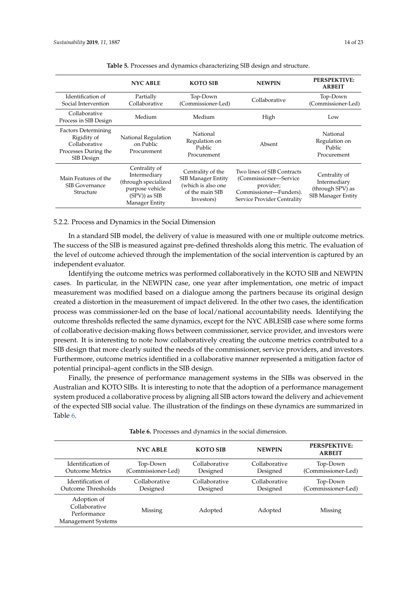<span id="page-13-0"></span>

|                                                                                                  | <b>NYC ABLE</b>                                                                                                | <b>KOTO SIB</b>                                                                                       | <b>NEWPIN</b>                                                                                                              | <b>PERSPEKTIVE:</b><br><b>ARBEIT</b>                                           |
|--------------------------------------------------------------------------------------------------|----------------------------------------------------------------------------------------------------------------|-------------------------------------------------------------------------------------------------------|----------------------------------------------------------------------------------------------------------------------------|--------------------------------------------------------------------------------|
| Identification of<br>Social Intervention                                                         | Partially<br>Collaborative                                                                                     | Top-Down<br>(Commissioner-Led)                                                                        | Collaborative                                                                                                              | Top-Down<br>(Commissioner-Led)                                                 |
| Collaborative<br>Process in SIB Design                                                           | Medium                                                                                                         | Medium                                                                                                | High                                                                                                                       | Low                                                                            |
| <b>Factors Determining</b><br>Rigidity of<br>Collaborative<br>Processes During the<br>SIB Design | National Regulation<br>on Public<br>Procurement                                                                | National<br>Regulation on<br>Public<br>Procurement                                                    | Absent                                                                                                                     | National<br>Regulation on<br>Public<br>Procurement                             |
| Main Features of the<br>SIB Governance<br>Structure                                              | Centrality of<br>Intermediary<br>(through specialized<br>purpose vehicle<br>$(SPV)$ ) as SIB<br>Manager Entity | Centrality of the<br><b>SIB Manager Entity</b><br>(which is also one<br>of the main SIB<br>Investors) | Two lines of SIB Contracts<br>(Commissioner-Service)<br>provider;<br>Commissioner-Funders).<br>Service Provider Centrality | Centrality of<br>Intermediary<br>(through SPV) as<br><b>SIB Manager Entity</b> |

**Table 5.** Processes and dynamics characterizing SIB design and structure.

## 5.2.2. Process and Dynamics in the Social Dimension

In a standard SIB model, the delivery of value is measured with one or multiple outcome metrics. The success of the SIB is measured against pre-defined thresholds along this metric. The evaluation of the level of outcome achieved through the implementation of the social intervention is captured by an independent evaluator.

Identifying the outcome metrics was performed collaboratively in the KOTO SIB and NEWPIN cases. In particular, in the NEWPIN case, one year after implementation, one metric of impact measurement was modified based on a dialogue among the partners because its original design created a distortion in the measurement of impact delivered. In the other two cases, the identification process was commissioner-led on the base of local/national accountability needs. Identifying the outcome thresholds reflected the same dynamics, except for the NYC ABLESIB case where some forms of collaborative decision-making flows between commissioner, service provider, and investors were present. It is interesting to note how collaboratively creating the outcome metrics contributed to a SIB design that more clearly suited the needs of the commissioner, service providers, and investors. Furthermore, outcome metrics identified in a collaborative manner represented a mitigation factor of potential principal–agent conflicts in the SIB design.

Finally, the presence of performance management systems in the SIBs was observed in the Australian and KOTO SIBs. It is interesting to note that the adoption of a performance management system produced a collaborative process by aligning all SIB actors toward the delivery and achievement of the expected SIB social value. The illustration of the findings on these dynamics are summarized in Table [6.](#page-13-1)

| <b>Table 6.</b> Processes and dynamics in the social dimension. |  |
|-----------------------------------------------------------------|--|
|-----------------------------------------------------------------|--|

<span id="page-13-1"></span>

|                                                                   | <b>NYC ABLE</b>    | <b>KOTO SIB</b> | <b>NEWPIN</b> | PERSPEKTIVE:<br><b>ARBEIT</b> |
|-------------------------------------------------------------------|--------------------|-----------------|---------------|-------------------------------|
| Identification of                                                 | Top-Down           | Collaborative   | Collaborative | Top-Down                      |
| <b>Outcome Metrics</b>                                            | (Commissioner-Led) | Designed        | Designed      | (Commissioner-Led)            |
| Identification of                                                 | Collaborative      | Collaborative   | Collaborative | Top-Down                      |
| Outcome Thresholds                                                | Designed           | Designed        | Designed      | (Commissioner-Led)            |
| Adoption of<br>Collaborative<br>Performance<br>Management Systems | Missing            | Adopted         | Adopted       | Missing                       |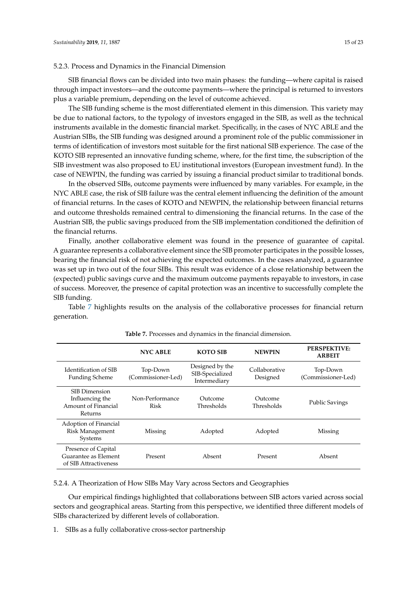## 5.2.3. Process and Dynamics in the Financial Dimension

SIB financial flows can be divided into two main phases: the funding—where capital is raised through impact investors—and the outcome payments—where the principal is returned to investors plus a variable premium, depending on the level of outcome achieved.

The SIB funding scheme is the most differentiated element in this dimension. This variety may be due to national factors, to the typology of investors engaged in the SIB, as well as the technical instruments available in the domestic financial market. Specifically, in the cases of NYC ABLE and the Austrian SIBs, the SIB funding was designed around a prominent role of the public commissioner in terms of identification of investors most suitable for the first national SIB experience. The case of the KOTO SIB represented an innovative funding scheme, where, for the first time, the subscription of the SIB investment was also proposed to EU institutional investors (European investment fund). In the case of NEWPIN, the funding was carried by issuing a financial product similar to traditional bonds.

In the observed SIBs, outcome payments were influenced by many variables. For example, in the NYC ABLE case, the risk of SIB failure was the central element influencing the definition of the amount of financial returns. In the cases of KOTO and NEWPIN, the relationship between financial returns and outcome thresholds remained central to dimensioning the financial returns. In the case of the Austrian SIB, the public savings produced from the SIB implementation conditioned the definition of the financial returns.

Finally, another collaborative element was found in the presence of guarantee of capital. A guarantee represents a collaborative element since the SIB promoter participates in the possible losses, bearing the financial risk of not achieving the expected outcomes. In the cases analyzed, a guarantee was set up in two out of the four SIBs. This result was evidence of a close relationship between the (expected) public savings curve and the maximum outcome payments repayable to investors, in case of success. Moreover, the presence of capital protection was an incentive to successfully complete the SIB funding.

Table [7](#page-14-0) highlights results on the analysis of the collaborative processes for financial return generation.

<span id="page-14-0"></span>

|                                                                           | <b>NYC ABLE</b>                | <b>KOTO SIB</b>                                    | <b>NEWPIN</b>             | PERSPEKTIVE:<br><b>ARBEIT</b>  |
|---------------------------------------------------------------------------|--------------------------------|----------------------------------------------------|---------------------------|--------------------------------|
| Identification of SIB<br><b>Funding Scheme</b>                            | Top-Down<br>(Commissioner-Led) | Designed by the<br>SIB-Specialized<br>Intermediary | Collaborative<br>Designed | Top-Down<br>(Commissioner-Led) |
| <b>SIB</b> Dimension<br>Influencing the<br>Amount of Financial<br>Returns | Non-Performance<br>Risk        | Outcome<br>Thresholds                              | Outcome<br>Thresholds     | <b>Public Savings</b>          |
| Adoption of Financial<br>Risk Management<br>Systems                       | Missing                        | Adopted                                            | Adopted                   | Missing                        |
| Presence of Capital<br>Guarantee as Element<br>of SIB Attractiveness      | Present                        | Absent                                             | Present                   | Absent                         |

**Table 7.** Processes and dynamics in the financial dimension.

5.2.4. A Theorization of How SIBs May Vary across Sectors and Geographies

Our empirical findings highlighted that collaborations between SIB actors varied across social sectors and geographical areas. Starting from this perspective, we identified three different models of SIBs characterized by different levels of collaboration.

1. SIBs as a fully collaborative cross-sector partnership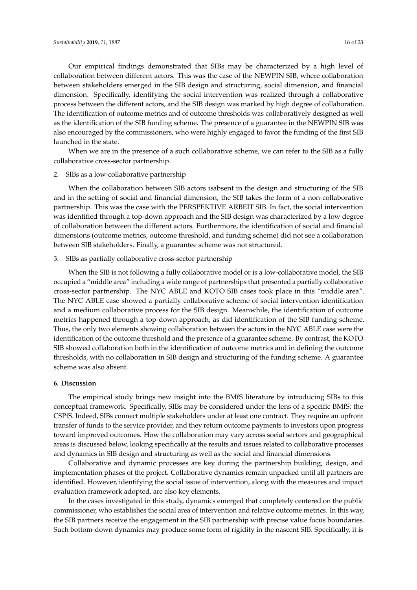Our empirical findings demonstrated that SIBs may be characterized by a high level of collaboration between different actors. This was the case of the NEWPIN SIB, where collaboration between stakeholders emerged in the SIB design and structuring, social dimension, and financial dimension. Specifically, identifying the social intervention was realized through a collaborative process between the different actors, and the SIB design was marked by high degree of collaboration. The identification of outcome metrics and of outcome thresholds was collaboratively designed as well as the identification of the SIB funding scheme. The presence of a guarantee in the NEWPIN SIB was also encouraged by the commissioners, who were highly engaged to favor the funding of the first SIB launched in the state.

When we are in the presence of a such collaborative scheme, we can refer to the SIB as a fully collaborative cross-sector partnership.

## 2. SIBs as a low-collaborative partnership

When the collaboration between SIB actors isabsent in the design and structuring of the SIB and in the setting of social and financial dimension, the SIB takes the form of a non-collaborative partnership. This was the case with the PERSPEKTIVE ARBEIT SIB. In fact, the social intervention was identified through a top-down approach and the SIB design was characterized by a low degree of collaboration between the different actors. Furthermore, the identification of social and financial dimensions (outcome metrics, outcome threshold, and funding scheme) did not see a collaboration between SIB stakeholders. Finally, a guarantee scheme was not structured.

## 3. SIBs as partially collaborative cross-sector partnership

When the SIB is not following a fully collaborative model or is a low-collaborative model, the SIB occupied a "middle area" including a wide range of partnerships that presented a partially collaborative cross-sector partnership. The NYC ABLE and KOTO SIB cases took place in this "middle area". The NYC ABLE case showed a partially collaborative scheme of social intervention identification and a medium collaborative process for the SIB design. Meanwhile, the identification of outcome metrics happened through a top-down approach, as did identification of the SIB funding scheme. Thus, the only two elements showing collaboration between the actors in the NYC ABLE case were the identification of the outcome threshold and the presence of a guarantee scheme. By contrast, the KOTO SIB showed collaboration both in the identification of outcome metrics and in defining the outcome thresholds, with no collaboration in SIB design and structuring of the funding scheme. A guarantee scheme was also absent.

## **6. Discussion**

The empirical study brings new insight into the BMfS literature by introducing SIBs to this conceptual framework. Specifically, SIBs may be considered under the lens of a specific BMfS: the CSPfS. Indeed, SIBs connect multiple stakeholders under at least one contract. They require an upfront transfer of funds to the service provider, and they return outcome payments to investors upon progress toward improved outcomes. How the collaboration may vary across social sectors and geographical areas is discussed below, looking specifically at the results and issues related to collaborative processes and dynamics in SIB design and structuring as well as the social and financial dimensions.

Collaborative and dynamic processes are key during the partnership building, design, and implementation phases of the project. Collaborative dynamics remain unpacked until all partners are identified. However, identifying the social issue of intervention, along with the measures and impact evaluation framework adopted, are also key elements.

In the cases investigated in this study, dynamics emerged that completely centered on the public commissioner, who establishes the social area of intervention and relative outcome metrics. In this way, the SIB partners receive the engagement in the SIB partnership with precise value focus boundaries. Such bottom-down dynamics may produce some form of rigidity in the nascent SIB. Specifically, it is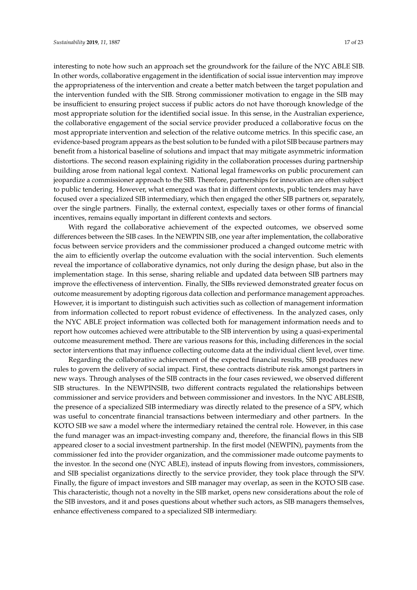interesting to note how such an approach set the groundwork for the failure of the NYC ABLE SIB. In other words, collaborative engagement in the identification of social issue intervention may improve the appropriateness of the intervention and create a better match between the target population and the intervention funded with the SIB. Strong commissioner motivation to engage in the SIB may be insufficient to ensuring project success if public actors do not have thorough knowledge of the most appropriate solution for the identified social issue. In this sense, in the Australian experience, the collaborative engagement of the social service provider produced a collaborative focus on the most appropriate intervention and selection of the relative outcome metrics. In this specific case, an evidence-based program appears as the best solution to be funded with a pilot SIB because partners may benefit from a historical baseline of solutions and impact that may mitigate asymmetric information distortions. The second reason explaining rigidity in the collaboration processes during partnership building arose from national legal context. National legal frameworks on public procurement can jeopardize a commissioner approach to the SIB. Therefore, partnerships for innovation are often subject to public tendering. However, what emerged was that in different contexts, public tenders may have focused over a specialized SIB intermediary, which then engaged the other SIB partners or, separately, over the single partners. Finally, the external context, especially taxes or other forms of financial incentives, remains equally important in different contexts and sectors.

With regard the collaborative achievement of the expected outcomes, we observed some differences between the SIB cases. In the NEWPIN SIB, one year after implementation, the collaborative focus between service providers and the commissioner produced a changed outcome metric with the aim to efficiently overlap the outcome evaluation with the social intervention. Such elements reveal the importance of collaborative dynamics, not only during the design phase, but also in the implementation stage. In this sense, sharing reliable and updated data between SIB partners may improve the effectiveness of intervention. Finally, the SIBs reviewed demonstrated greater focus on outcome measurement by adopting rigorous data collection and performance management approaches. However, it is important to distinguish such activities such as collection of management information from information collected to report robust evidence of effectiveness. In the analyzed cases, only the NYC ABLE project information was collected both for management information needs and to report how outcomes achieved were attributable to the SIB intervention by using a quasi-experimental outcome measurement method. There are various reasons for this, including differences in the social sector interventions that may influence collecting outcome data at the individual client level, over time.

Regarding the collaborative achievement of the expected financial results, SIB produces new rules to govern the delivery of social impact. First, these contracts distribute risk amongst partners in new ways. Through analyses of the SIB contracts in the four cases reviewed, we observed different SIB structures. In the NEWPINSIB, two different contracts regulated the relationships between commissioner and service providers and between commissioner and investors. In the NYC ABLESIB, the presence of a specialized SIB intermediary was directly related to the presence of a SPV, which was useful to concentrate financial transactions between intermediary and other partners. In the KOTO SIB we saw a model where the intermediary retained the central role. However, in this case the fund manager was an impact-investing company and, therefore, the financial flows in this SIB appeared closer to a social investment partnership. In the first model (NEWPIN), payments from the commissioner fed into the provider organization, and the commissioner made outcome payments to the investor. In the second one (NYC ABLE), instead of inputs flowing from investors, commissioners, and SIB specialist organizations directly to the service provider, they took place through the SPV. Finally, the figure of impact investors and SIB manager may overlap, as seen in the KOTO SIB case. This characteristic, though not a novelty in the SIB market, opens new considerations about the role of the SIB investors, and it and poses questions about whether such actors, as SIB managers themselves, enhance effectiveness compared to a specialized SIB intermediary.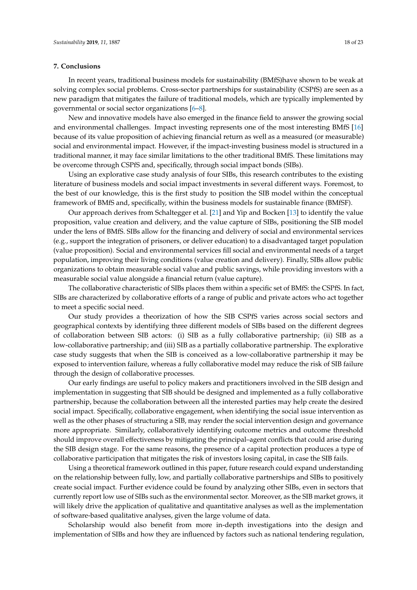## **7. Conclusions**

In recent years, traditional business models for sustainability (BMfS)have shown to be weak at solving complex social problems. Cross-sector partnerships for sustainability (CSPfS) are seen as a new paradigm that mitigates the failure of traditional models, which are typically implemented by governmental or social sector organizations [\[6](#page-18-5)[–8\]](#page-18-6).

New and innovative models have also emerged in the finance field to answer the growing social and environmental challenges. Impact investing represents one of the most interesting BMfS [\[16\]](#page-18-14) because of its value proposition of achieving financial return as well as a measured (or measurable) social and environmental impact. However, if the impact-investing business model is structured in a traditional manner, it may face similar limitations to the other traditional BMfS. These limitations may be overcome through CSPfS and, specifically, through social impact bonds (SIBs).

Using an explorative case study analysis of four SIBs, this research contributes to the existing literature of business models and social impact investments in several different ways. Foremost, to the best of our knowledge, this is the first study to position the SIB model within the conceptual framework of BMfS and, specifically, within the business models for sustainable finance (BMfSF).

Our approach derives from Schaltegger et al. [\[21\]](#page-19-1) and Yip and Bocken [\[13\]](#page-18-11) to identify the value proposition, value creation and delivery, and the value capture of SIBs, positioning the SIB model under the lens of BMfS. SIBs allow for the financing and delivery of social and environmental services (e.g., support the integration of prisoners, or deliver education) to a disadvantaged target population (value proposition). Social and environmental services fill social and environmental needs of a target population, improving their living conditions (value creation and delivery). Finally, SIBs allow public organizations to obtain measurable social value and public savings, while providing investors with a measurable social value alongside a financial return (value capture).

The collaborative characteristic of SIBs places them within a specific set of BMfS: the CSPfS. In fact, SIBs are characterized by collaborative efforts of a range of public and private actors who act together to meet a specific social need.

Our study provides a theorization of how the SIB CSPfS varies across social sectors and geographical contexts by identifying three different models of SIBs based on the different degrees of collaboration between SIB actors: (i) SIB as a fully collaborative partnership; (ii) SIB as a low-collaborative partnership; and (iii) SIB as a partially collaborative partnership. The explorative case study suggests that when the SIB is conceived as a low-collaborative partnership it may be exposed to intervention failure, whereas a fully collaborative model may reduce the risk of SIB failure through the design of collaborative processes.

Our early findings are useful to policy makers and practitioners involved in the SIB design and implementation in suggesting that SIB should be designed and implemented as a fully collaborative partnership, because the collaboration between all the interested parties may help create the desired social impact. Specifically, collaborative engagement, when identifying the social issue intervention as well as the other phases of structuring a SIB, may render the social intervention design and governance more appropriate. Similarly, collaboratively identifying outcome metrics and outcome threshold should improve overall effectiveness by mitigating the principal–agent conflicts that could arise during the SIB design stage. For the same reasons, the presence of a capital protection produces a type of collaborative participation that mitigates the risk of investors losing capital, in case the SIB fails.

Using a theoretical framework outlined in this paper, future research could expand understanding on the relationship between fully, low, and partially collaborative partnerships and SIBs to positively create social impact. Further evidence could be found by analyzing other SIBs, even in sectors that currently report low use of SIBs such as the environmental sector. Moreover, as the SIB market grows, it will likely drive the application of qualitative and quantitative analyses as well as the implementation of software-based qualitative analyses, given the large volume of data.

Scholarship would also benefit from more in-depth investigations into the design and implementation of SIBs and how they are influenced by factors such as national tendering regulation,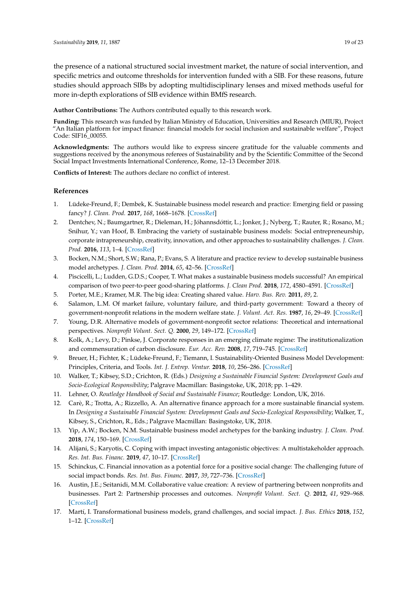the presence of a national structured social investment market, the nature of social intervention, and specific metrics and outcome thresholds for intervention funded with a SIB. For these reasons, future studies should approach SIBs by adopting multidisciplinary lenses and mixed methods useful for more in-depth explorations of SIB evidence within BMfS research.

**Author Contributions:** The Authors contributed equally to this research work.

**Funding:** This research was funded by Italian Ministry of Education, Universities and Research (MIUR), Project "An Italian platform for impact finance: financial models for social inclusion and sustainable welfare", Project Code: SIF16\_00055.

**Acknowledgments:** The authors would like to express sincere gratitude for the valuable comments and suggestions received by the anonymous referees of Sustainability and by the Scientific Committee of the Second Social Impact Investments International Conference, Rome, 12–13 December 2018.

**Conflicts of Interest:** The authors declare no conflict of interest.

## **References**

- <span id="page-18-0"></span>1. Lüdeke-Freund, F.; Dembek, K. Sustainable business model research and practice: Emerging field or passing fancy? *J. Clean. Prod.* **2017**, *168*, 1668–1678. [\[CrossRef\]](http://dx.doi.org/10.1016/j.jclepro.2017.08.093)
- <span id="page-18-1"></span>2. Dentchev, N.; Baumgartner, R.; Dieleman, H.; Jóhannsdóttir, L.; Jonker, J.; Nyberg, T.; Rauter, R.; Rosano, M.; Snihur, Y.; van Hoof, B. Embracing the variety of sustainable business models: Social entrepreneurship, corporate intrapreneurship, creativity, innovation, and other approaches to sustainability challenges. *J. Clean. Prod.* **2016**, *113*, 1–4. [\[CrossRef\]](http://dx.doi.org/10.1016/j.jclepro.2015.10.130)
- <span id="page-18-2"></span>3. Bocken, N.M.; Short, S.W.; Rana, P.; Evans, S. A literature and practice review to develop sustainable business model archetypes. *J. Clean. Prod.* **2014**, *65*, 42–56. [\[CrossRef\]](http://dx.doi.org/10.1016/j.jclepro.2013.11.039)
- <span id="page-18-3"></span>4. Piscicelli, L.; Ludden, G.D.S.; Cooper, T. What makes a sustainable business models successful? An empirical comparison of two peer-to-peer good-sharing platforms. *J. Clean Prod.* **2018**, *172*, 4580–4591. [\[CrossRef\]](http://dx.doi.org/10.1016/j.jclepro.2017.08.170)
- <span id="page-18-4"></span>5. Porter, M.E.; Kramer, M.R. The big idea: Creating shared value. *Harv. Bus. Rev.* **2011**, *89*, 2.
- <span id="page-18-5"></span>6. Salamon, L.M. Of market failure, voluntary failure, and third-party government: Toward a theory of government-nonprofit relations in the modern welfare state. *J. Volunt. Act. Res.* **1987**, *16*, 29–49. [\[CrossRef\]](http://dx.doi.org/10.1177/089976408701600104)
- 7. Young, D.R. Alternative models of government-nonprofit sector relations: Theoretical and international perspectives. *Nonprofit Volunt. Sect. Q.* **2000**, *29*, 149–172. [\[CrossRef\]](http://dx.doi.org/10.1177/0899764000291009)
- <span id="page-18-6"></span>8. Kolk, A.; Levy, D.; Pinkse, J. Corporate responses in an emerging climate regime: The institutionalization and commensuration of carbon disclosure. *Eur. Acc. Rev.* **2008**, *17*, 719–745. [\[CrossRef\]](http://dx.doi.org/10.1080/09638180802489121)
- <span id="page-18-7"></span>9. Breuer, H.; Fichter, K.; Lüdeke-Freund, F.; Tiemann, I. Sustainability-Oriented Business Model Development: Principles, Criteria, and Tools. *Int. J. Entrep. Ventur.* **2018**, *10*, 256–286. [\[CrossRef\]](http://dx.doi.org/10.1504/IJEV.2018.092715)
- <span id="page-18-8"></span>10. Walker, T.; Kibsey, S.D.; Crichton, R. (Eds.) *Designing a Sustainable Financial System: Development Goals and Socio-Ecological Responsibility*; Palgrave Macmillan: Basingstoke, UK, 2018; pp. 1–429.
- <span id="page-18-9"></span>11. Lehner, O. *Routledge Handbook of Social and Sustainable Finance*; Routledge: London, UK, 2016.
- <span id="page-18-10"></span>12. Carè, R.; Trotta, A.; Rizzello, A. An alternative finance approach for a more sustainable financial system. In *Designing a Sustainable Financial System: Development Goals and Socio-Ecological Responsibility*; Walker, T., Kibsey, S., Crichton, R., Eds.; Palgrave Macmillan: Basingstoke, UK, 2018.
- <span id="page-18-11"></span>13. Yip, A.W.; Bocken, N.M. Sustainable business model archetypes for the banking industry. *J. Clean. Prod.* **2018**, *174*, 150–169. [\[CrossRef\]](http://dx.doi.org/10.1016/j.jclepro.2017.10.190)
- <span id="page-18-12"></span>14. Alijani, S.; Karyotis, C. Coping with impact investing antagonistic objectives: A multistakeholder approach. *Res. Int. Bus. Financ.* **2019**, *47*, 10–17. [\[CrossRef\]](http://dx.doi.org/10.1016/j.ribaf.2018.04.002)
- <span id="page-18-13"></span>15. Schinckus, C. Financial innovation as a potential force for a positive social change: The challenging future of social impact bonds. *Res. Int. Bus. Financ.* **2017**, *39*, 727–736. [\[CrossRef\]](http://dx.doi.org/10.1016/j.ribaf.2015.11.004)
- <span id="page-18-14"></span>16. Austin, J.E.; Seitanidi, M.M. Collaborative value creation: A review of partnering between nonprofits and businesses. Part 2: Partnership processes and outcomes. *Nonprofit Volunt. Sect. Q.* **2012**, *41*, 929–968. [\[CrossRef\]](http://dx.doi.org/10.1177/0899764012454685)
- <span id="page-18-15"></span>17. Martí, I. Transformational business models, grand challenges, and social impact. *J. Bus. Ethics* **2018**, *152*, 1–12. [\[CrossRef\]](http://dx.doi.org/10.1007/s10551-018-3824-3)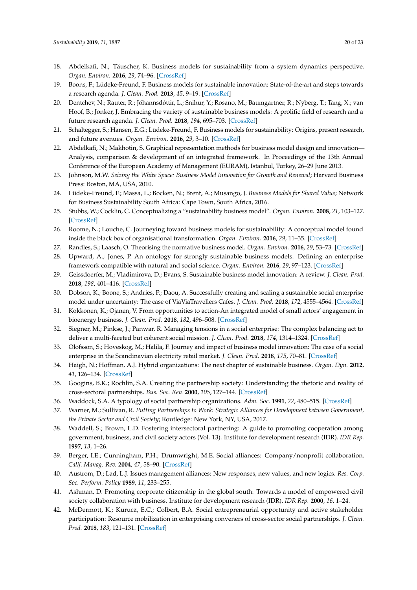- <span id="page-19-0"></span>18. Abdelkafi, N.; Täuscher, K. Business models for sustainability from a system dynamics perspective. *Organ. Environ.* **2016**, *29*, 74–96. [\[CrossRef\]](http://dx.doi.org/10.1177/1086026615592930)
- <span id="page-19-6"></span>19. Boons, F.; Lüdeke-Freund, F. Business models for sustainable innovation: State-of-the-art and steps towards a research agenda. *J. Clean. Prod.* **2013**, *45*, 9–19. [\[CrossRef\]](http://dx.doi.org/10.1016/j.jclepro.2012.07.007)
- <span id="page-19-8"></span>20. Dentchev, N.; Rauter, R.; Jóhannsdóttir, L.; Snihur, Y.; Rosano, M.; Baumgartner, R.; Nyberg, T.; Tang, X.; van Hoof, B.; Jonker, J. Embracing the variety of sustainable business models: A prolific field of research and a future research agenda. *J. Clean. Prod.* **2018**, *194*, 695–703. [\[CrossRef\]](http://dx.doi.org/10.1016/j.jclepro.2018.05.156)
- <span id="page-19-1"></span>21. Schaltegger, S.; Hansen, E.G.; Lüdeke-Freund, F. Business models for sustainability: Origins, present research, and future avenues. *Organ. Environ.* **2016**, *29*, 3–10. [\[CrossRef\]](http://dx.doi.org/10.1177/1086026615599806)
- <span id="page-19-2"></span>22. Abdelkafi, N.; Makhotin, S. Graphical representation methods for business model design and innovation— Analysis, comparison & development of an integrated framework. In Proceedings of the 13th Annual Conference of the European Academy of Management (EURAM), Istanbul, Turkey, 26–29 June 2013.
- <span id="page-19-3"></span>23. Johnson, M.W. *Seizing the White Space: Business Model Innovation for Growth and Renewal*; Harvard Business Press: Boston, MA, USA, 2010.
- <span id="page-19-4"></span>24. Lüdeke-Freund, F.; Massa, L.; Bocken, N.; Brent, A.; Musango, J. *Business Models for Shared Value*; Network for Business Sustainability South Africa: Cape Town, South Africa, 2016.
- <span id="page-19-5"></span>25. Stubbs, W.; Cocklin, C. Conceptualizing a "sustainability business model". *Organ. Environ.* **2008**, *21*, 103–127. [\[CrossRef\]](http://dx.doi.org/10.1177/1086026608318042)
- <span id="page-19-7"></span>26. Roome, N.; Louche, C. Journeying toward business models for sustainability: A conceptual model found inside the black box of organisational transformation. *Organ. Environ.* **2016**, *29*, 11–35. [\[CrossRef\]](http://dx.doi.org/10.1177/1086026615595084)
- <span id="page-19-9"></span>27. Randles, S.; Laasch, O. Theorising the normative business model. *Organ. Environ.* **2016**, *29*, 53–73. [\[CrossRef\]](http://dx.doi.org/10.1177/1086026615592934)
- <span id="page-19-10"></span>28. Upward, A.; Jones, P. An ontology for strongly sustainable business models: Defining an enterprise framework compatible with natural and social science. *Organ. Environ.* **2016**, *29*, 97–123. [\[CrossRef\]](http://dx.doi.org/10.1177/1086026615592933)
- <span id="page-19-11"></span>29. Geissdoerfer, M.; Vladimirova, D.; Evans, S. Sustainable business model innovation: A review. *J. Clean. Prod.* **2018**, *198*, 401–416. [\[CrossRef\]](http://dx.doi.org/10.1016/j.jclepro.2018.06.240)
- <span id="page-19-12"></span>30. Dobson, K.; Boone, S.; Andries, P.; Daou, A. Successfully creating and scaling a sustainable social enterprise model under uncertainty: The case of ViaViaTravellers Cafes. *J. Clean. Prod.* **2018**, *172*, 4555–4564. [\[CrossRef\]](http://dx.doi.org/10.1016/j.jclepro.2017.09.010)
- 31. Kokkonen, K.; Ojanen, V. From opportunities to action-An integrated model of small actors' engagement in bioenergy business. *J. Clean. Prod.* **2018**, *182*, 496–508. [\[CrossRef\]](http://dx.doi.org/10.1016/j.jclepro.2018.02.013)
- 32. Siegner, M.; Pinkse, J.; Panwar, R. Managing tensions in a social enterprise: The complex balancing act to deliver a multi-faceted but coherent social mission. *J. Clean. Prod.* **2018**, *174*, 1314–1324. [\[CrossRef\]](http://dx.doi.org/10.1016/j.jclepro.2017.11.076)
- <span id="page-19-13"></span>33. Olofsson, S.; Hoveskog, M.; Halila, F. Journey and impact of business model innovation: The case of a social enterprise in the Scandinavian electricity retail market. *J. Clean. Prod.* **2018**, *175*, 70–81. [\[CrossRef\]](http://dx.doi.org/10.1016/j.jclepro.2017.11.081)
- <span id="page-19-14"></span>34. Haigh, N.; Hoffman, A.J. Hybrid organizations: The next chapter of sustainable business. *Organ. Dyn.* **2012**, *41*, 126–134. [\[CrossRef\]](http://dx.doi.org/10.1016/j.orgdyn.2012.01.006)
- <span id="page-19-15"></span>35. Googins, B.K.; Rochlin, S.A. Creating the partnership society: Understanding the rhetoric and reality of cross-sectoral partnerships. *Bus. Soc. Rev.* **2000**, *105*, 127–144. [\[CrossRef\]](http://dx.doi.org/10.1111/0045-3609.00068)
- <span id="page-19-22"></span>36. Waddock, S.A. A typology of social partnership organizations. *Adm. Soc.* **1991**, *22*, 480–515. [\[CrossRef\]](http://dx.doi.org/10.1177/009539979102200405)
- <span id="page-19-16"></span>37. Warner, M.; Sullivan, R. *Putting Partnerships to Work: Strategic Alliances for Development between Government, the Private Sector and Civil Society*; Routledge: New York, NY, USA, 2017.
- <span id="page-19-17"></span>38. Waddell, S.; Brown, L.D. Fostering intersectoral partnering: A guide to promoting cooperation among government, business, and civil society actors (Vol. 13). Institute for development research (IDR). *IDR Rep.* **1997**, *13*, 1–26.
- <span id="page-19-18"></span>39. Berger, I.E.; Cunningham, P.H.; Drumwright, M.E. Social alliances: Company/nonprofit collaboration. *Calif. Manag. Rev.* **2004**, *47*, 58–90. [\[CrossRef\]](http://dx.doi.org/10.2307/41166287)
- <span id="page-19-19"></span>40. Austrom, D.; Lad, L.J. Issues management alliances: New responses, new values, and new logics. *Res. Corp. Soc. Perform. Policy* **1989**, *11*, 233–255.
- <span id="page-19-20"></span>41. Ashman, D. Promoting corporate citizenship in the global south: Towards a model of empowered civil society collaboration with business. Institute for development research (IDR). *IDR Rep.* **2000**, *16*, 1–24.
- <span id="page-19-21"></span>42. McDermott, K.; Kurucz, E.C.; Colbert, B.A. Social entrepreneurial opportunity and active stakeholder participation: Resource mobilization in enterprising conveners of cross-sector social partnerships. *J. Clean. Prod.* **2018**, *183*, 121–131. [\[CrossRef\]](http://dx.doi.org/10.1016/j.jclepro.2018.02.010)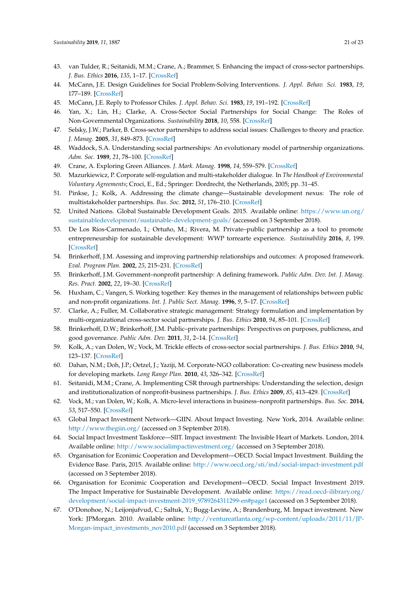- <span id="page-20-0"></span>43. van Tulder, R.; Seitanidi, M.M.; Crane, A.; Brammer, S. Enhancing the impact of cross-sector partnerships. *J. Bus. Ethics* **2016**, *135*, 1–17. [\[CrossRef\]](http://dx.doi.org/10.1007/s10551-015-2756-4)
- <span id="page-20-1"></span>44. McCann, J.E. Design Guidelines for Social Problem-Solving Interventions. *J. Appl. Behav. Sci.* **1983**, *19*, 177–189. [\[CrossRef\]](http://dx.doi.org/10.1177/002188638301900213)
- <span id="page-20-2"></span>45. McCann, J.E. Reply to Professor Chiles. *J. Appl. Behav. Sci.* **1983**, *19*, 191–192. [\[CrossRef\]](http://dx.doi.org/10.1177/002188638301900215)
- <span id="page-20-3"></span>46. Yan, X.; Lin, H.; Clarke, A. Cross-Sector Social Partnerships for Social Change: The Roles of Non-Governmental Organizations. *Sustainability* **2018**, *10*, 558. [\[CrossRef\]](http://dx.doi.org/10.3390/su10020558)
- <span id="page-20-4"></span>47. Selsky, J.W.; Parker, B. Cross-sector partnerships to address social issues: Challenges to theory and practice. *J. Manag.* **2005**, *31*, 849–873. [\[CrossRef\]](http://dx.doi.org/10.1177/0149206305279601)
- <span id="page-20-5"></span>48. Waddock, S.A. Understanding social partnerships: An evolutionary model of partnership organizations. *Adm. Soc.* **1989**, *21*, 78–100. [\[CrossRef\]](http://dx.doi.org/10.1177/009539978902100105)
- <span id="page-20-6"></span>49. Crane, A. Exploring Green Alliances. *J. Mark. Manag.* **1998**, *14*, 559–579. [\[CrossRef\]](http://dx.doi.org/10.1362/026725798784867734)
- <span id="page-20-7"></span>50. Mazurkiewicz, P. Corporate self-regulation and multi-stakeholder dialogue. In *The Handbook of Environmental Voluntary Agreements*; Croci, E., Ed.; Springer: Dordrecht, the Netherlands, 2005; pp. 31–45.
- <span id="page-20-8"></span>51. Pinkse, J.; Kolk, A. Addressing the climate change—Sustainable development nexus: The role of multistakeholder partnerships. *Bus. Soc.* **2012**, *51*, 176–210. [\[CrossRef\]](http://dx.doi.org/10.1177/0007650311427426)
- <span id="page-20-9"></span>52. United Nations. Global Sustainable Development Goals. 2015. Available online: [https://www.un.org/](https://www.un.org/sustainabledevelopment/sustainable-development-goals/) [sustainabledevelopment/sustainable-development-goals/](https://www.un.org/sustainabledevelopment/sustainable-development-goals/) (accessed on 3 September 2018).
- <span id="page-20-10"></span>53. De Los Ríos-Carmenado, I.; Ortuño, M.; Rivera, M. Private–public partnership as a tool to promote entrepreneurship for sustainable development: WWP torrearte experience. *Sustainability* **2016**, *8*, 199. [\[CrossRef\]](http://dx.doi.org/10.3390/su8030199)
- <span id="page-20-11"></span>54. Brinkerhoff, J.M. Assessing and improving partnership relationships and outcomes: A proposed framework. *Eval. Program Plan.* **2002**, *25*, 215–231. [\[CrossRef\]](http://dx.doi.org/10.1016/S0149-7189(02)00017-4)
- 55. Brinkerhoff, J.M. Government–nonprofit partnership: A defining framework. *Public Adm. Dev. Int. J. Manag. Res. Pract.* **2002**, *22*, 19–30. [\[CrossRef\]](http://dx.doi.org/10.1002/pad.203)
- <span id="page-20-12"></span>56. Huxham, C.; Vangen, S. Working together: Key themes in the management of relationships between public and non-profit organizations. *Int. J. Public Sect. Manag.* **1996**, *9*, 5–17. [\[CrossRef\]](http://dx.doi.org/10.1108/09513559610153863)
- <span id="page-20-13"></span>57. Clarke, A.; Fuller, M. Collaborative strategic management: Strategy formulation and implementation by multi-organizational cross-sector social partnerships. *J. Bus. Ethics* **2010**, *94*, 85–101. [\[CrossRef\]](http://dx.doi.org/10.1007/s10551-011-0781-5)
- <span id="page-20-14"></span>58. Brinkerhoff, D.W.; Brinkerhoff, J.M. Public–private partnerships: Perspectives on purposes, publicness, and good governance. *Public Adm. Dev.* **2011**, *31*, 2–14. [\[CrossRef\]](http://dx.doi.org/10.1002/pad.584)
- <span id="page-20-15"></span>59. Kolk, A.; van Dolen, W.; Vock, M. Trickle effects of cross-sector social partnerships. *J. Bus. Ethics* **2010**, *94*, 123–137. [\[CrossRef\]](http://dx.doi.org/10.1007/s10551-011-0783-3)
- <span id="page-20-16"></span>60. Dahan, N.M.; Doh, J.P.; Oetzel, J.; Yaziji, M. Corporate-NGO collaboration: Co-creating new business models for developing markets. *Long Range Plan.* **2010**, *43*, 326–342. [\[CrossRef\]](http://dx.doi.org/10.1016/j.lrp.2009.11.003)
- <span id="page-20-17"></span>61. Seitanidi, M.M.; Crane, A. Implementing CSR through partnerships: Understanding the selection, design and institutionalization of nonprofit-business partnerships. *J. Bus. Ethics* **2009**, *85*, 413–429. [\[CrossRef\]](http://dx.doi.org/10.1007/s10551-008-9743-y)
- <span id="page-20-18"></span>62. Vock, M.; van Dolen, W.; Kolk, A. Micro-level interactions in business–nonprofit partnerships. *Bus. Soc.* **2014**, *53*, 517–550. [\[CrossRef\]](http://dx.doi.org/10.1177/0007650313476030)
- <span id="page-20-19"></span>63. Global Impact Investment Network—GIIN. About Impact Investing. New York, 2014. Available online: <http://www.thegiin.org/> (accessed on 3 September 2018).
- 64. Social Impact Investment Taskforce—SIIT. Impact investment: The Invisible Heart of Markets. London, 2014. Available online: <http://www.socialimpactinvestment.org/> (accessed on 3 September 2018).
- 65. Organisation for Econimic Cooperation and Development—OECD. Social Impact Investment. Building the Evidence Base. Paris, 2015. Available online: <http://www.oecd.org/sti/ind/social-impact-investment.pdf> (accessed on 3 September 2018).
- 66. Organisation for Econimic Cooperation and Development—OECD. Social Impact Investment 2019. The Impact Imperative for Sustainable Development. Available online: [https://read.oecd-ilibrary.org/](https://read.oecd-ilibrary.org/development/social-impact-investment-2019_9789264311299-en#page1) [development/social-impact-investment-2019\\_9789264311299-en#page1](https://read.oecd-ilibrary.org/development/social-impact-investment-2019_9789264311299-en#page1) (accessed on 3 September 2018).
- <span id="page-20-20"></span>67. O'Donohoe, N.; Leijonjufvud, C.; Saltuk, Y.; Bugg-Levine, A.; Brandenburg, M. Impact investment. New York: JPMorgan. 2010. Available online: [http://ventureatlanta.org/wp-content/uploads/2011/11/JP-](http://ventureatlanta.org/wp-content/uploads/2011/11/JP-Morgan-impact_investments_nov2010. pdf)[Morgan-impact\\_investments\\_nov2010.pdf](http://ventureatlanta.org/wp-content/uploads/2011/11/JP-Morgan-impact_investments_nov2010. pdf) (accessed on 3 September 2018).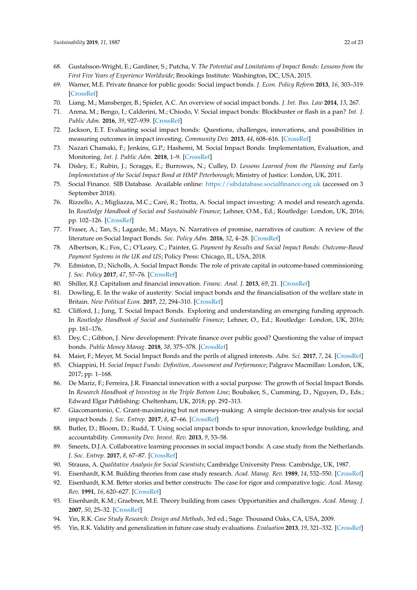- <span id="page-21-0"></span>68. Gustafsson-Wright, E.; Gardiner, S.; Putcha, V. *The Potential and Limitations of Impact Bonds: Lessons from the First Five Years of Experience Worldwide*; Brookings Institute: Washington, DC, USA, 2015.
- <span id="page-21-1"></span>69. Warner, M.E. Private finance for public goods: Social impact bonds. *J. Econ. Policy Reform* **2013**, *16*, 303–319. [\[CrossRef\]](http://dx.doi.org/10.1080/17487870.2013.835727)
- <span id="page-21-2"></span>70. Liang, M.; Mansberger, B.; Spieler, A.C. An overview of social impact bonds. *J. Int. Bus. Law* **2014**, *13*, 267.
- <span id="page-21-3"></span>71. Arena, M.; Bengo, I.; Calderini, M.; Chiodo, V. Social impact bonds: Blockbuster or flash in a pan? *Int. J. Public Adm.* **2016**, *39*, 927–939. [\[CrossRef\]](http://dx.doi.org/10.1080/01900692.2015.1057852)
- <span id="page-21-4"></span>72. Jackson, E.T. Evaluating social impact bonds: Questions, challenges, innovations, and possibilities in measuring outcomes in impact investing. *Community Dev.* **2013**, *44*, 608–616. [\[CrossRef\]](http://dx.doi.org/10.1080/15575330.2013.854258)
- <span id="page-21-5"></span>73. Nazari Chamaki, F.; Jenkins, G.P.; Hashemi, M. Social Impact Bonds: Implementation, Evaluation, and Monitoring. *Int. J. Public Adm.* **2018**, 1–9. [\[CrossRef\]](http://dx.doi.org/10.1080/01900692.2018.1433206)
- <span id="page-21-6"></span>74. Disley, E.; Rubin, J.; Scraggs, E.; Burrowes, N.; Culley, D. *Lessons Learned from the Planning and Early Implementation of the Social Impact Bond at HMP Peterborough*; Ministry of Justice: London, UK, 2011.
- <span id="page-21-7"></span>75. Social Finance. SIB Database. Available online: <https://sibdatabase.socialfinance.org.uk> (accessed on 3 September 2018).
- <span id="page-21-8"></span>76. Rizzello, A.; Migliazza, M.C.; Caré, R.; Trotta, A. Social impact investing: A model and research agenda. In *Routledge Handbook of Social and Sustainable Finance*; Lehner, O.M., Ed.; Routledge: London, UK, 2016; pp. 102–126. [\[CrossRef\]](http://dx.doi.org/10.4324/9781315772578)
- <span id="page-21-9"></span>77. Fraser, A.; Tan, S.; Lagarde, M.; Mays, N. Narratives of promise, narratives of caution: A review of the literature on Social Impact Bonds. *Soc. Policy Adm.* **2016**, *52*, 4–28. [\[CrossRef\]](http://dx.doi.org/10.1111/spol.12260)
- <span id="page-21-10"></span>78. Albertson, K.; Fox, C.; O'Leary, C.; Painter, G. *Payment by Results and Social Impact Bonds: Outcome-Based Payment Systems in the UK and US*; Policy Press: Chicago, IL, USA, 2018.
- <span id="page-21-11"></span>79. Edmiston, D.; Nicholls, A. Social Impact Bonds: The role of private capital in outcome-based commissioning. *J. Soc. Policy* **2017**, *47*, 57–76. [\[CrossRef\]](http://dx.doi.org/10.1017/S0047279417000125)
- <span id="page-21-12"></span>80. Shiller, R.J. Capitalism and financial innovation. *Financ. Anal. J.* **2013**, *69*, 21. [\[CrossRef\]](http://dx.doi.org/10.2469/faj.v69.n1.4)
- <span id="page-21-13"></span>81. Dowling, E. In the wake of austerity: Social impact bonds and the financialisation of the welfare state in Britain. *New Political Econ.* **2017**, *22*, 294–310. [\[CrossRef\]](http://dx.doi.org/10.1080/13563467.2017.1232709)
- <span id="page-21-14"></span>82. Clifford, J.; Jung, T. Social Impact Bonds. Exploring and understanding an emerging funding approach. In *Routledge Handbook of Social and Sustainable Finance*; Lehner, O., Ed.; Routledge: London, UK, 2016; pp. 161–176.
- <span id="page-21-15"></span>83. Dey, C.; Gibbon, J. New development: Private finance over public good? Questioning the value of impact bonds. *Public Money Manag.* **2018**, *38*, 375–378. [\[CrossRef\]](http://dx.doi.org/10.1080/09540962.2018.1477676)
- <span id="page-21-16"></span>84. Maier, F.; Meyer, M. Social Impact Bonds and the perils of aligned interests. *Adm. Sci.* **2017**, *7*, 24. [\[CrossRef\]](http://dx.doi.org/10.3390/admsci7030024)
- <span id="page-21-17"></span>85. Chiappini, H. *Social Impact Funds: Definition, Assessment and Performance*; Palgrave Macmillan: London, UK, 2017; pp. 1–168.
- <span id="page-21-18"></span>86. De Mariz, F.; Ferreira, J.R. Financial innovation with a social purpose: The growth of Social Impact Bonds. In *Research Handbook of Investing in the Triple Bottom Line*; Boubaker, S., Cumming, D., Nguyen, D., Eds.; Edward Elgar Publishing: Cheltenham, UK, 2018; pp. 292–313.
- <span id="page-21-19"></span>87. Giacomantonio, C. Grant-maximizing but not money-making: A simple decision-tree analysis for social impact bonds. *J. Soc. Entrep.* **2017**, *8*, 47–66. [\[CrossRef\]](http://dx.doi.org/10.1080/19420676.2016.1271348)
- <span id="page-21-20"></span>88. Butler, D.; Bloom, D.; Rudd, T. Using social impact bonds to spur innovation, knowledge building, and accountability. *Community Dev. Invest. Rev.* **2013**, *9*, 53–58.
- <span id="page-21-21"></span>89. Smeets, D.J.A. Collaborative learning processes in social impact bonds: A case study from the Netherlands. *J. Soc. Entrep.* **2017**, *8*, 67–87. [\[CrossRef\]](http://dx.doi.org/10.1080/19420676.2017.1299034)
- <span id="page-21-22"></span>90. Strauss, A. *Qualitative Analysis for Social Scientists*; Cambridge University Press: Cambridge, UK, 1987.
- <span id="page-21-23"></span>91. Eisenhardt, K.M. Building theories from case study research. *Acad. Manag. Rev.* **1989**, *14*, 532–550. [\[CrossRef\]](http://dx.doi.org/10.5465/amr.1989.4308385)
- <span id="page-21-27"></span>92. Eisenhardt, K.M. Better stories and better constructs: The case for rigor and comparative logic. *Acad. Manag. Rev.* **1991**, *16*, 620–627. [\[CrossRef\]](http://dx.doi.org/10.5465/amr.1991.4279496)
- <span id="page-21-24"></span>93. Eisenhardt, K.M.; Graebner, M.E. Theory building from cases: Opportunities and challenges. *Acad. Manag. J.* **2007**, *50*, 25–32. [\[CrossRef\]](http://dx.doi.org/10.5465/amj.2007.24160888)
- <span id="page-21-25"></span>94. Yin, R.K. *Case Study Research: Design and Methods*, 3rd ed.; Sage: Thousand Oaks, CA, USA, 2009.
- <span id="page-21-26"></span>95. Yin, R.K. Validity and generalization in future case study evaluations. *Evaluation* **2013**, *19*, 321–332. [\[CrossRef\]](http://dx.doi.org/10.1177/1356389013497081)